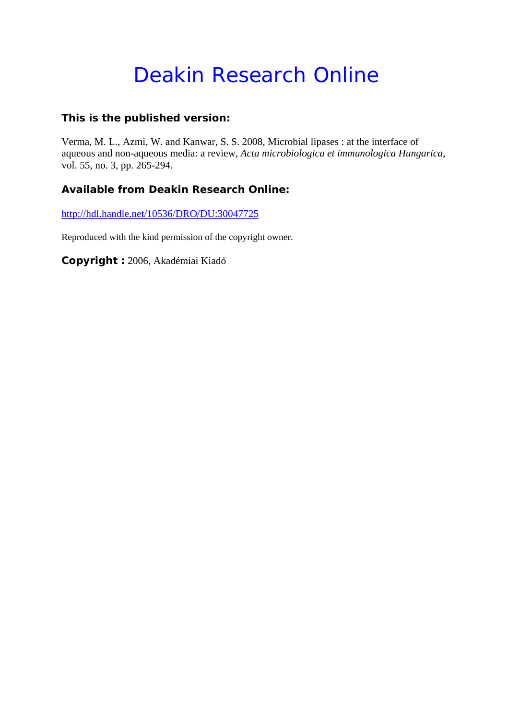# Deakin Research Online

# **This is the published version:**

Verma, M. L., Azmi, W. and Kanwar, S. S. 2008, Microbial lipases : at the interface of aqueous and non-aqueous media: a review*, Acta microbiologica et immunologica Hungarica*, vol. 55, no. 3, pp. 265-294.

# **Available from Deakin Research Online:**

http://hdl.handle.net/10536/DRO/DU:30047725

Reproduced with the kind permission of the copyright owner.

**Copyright :** 2006, Akadémiai Kiadó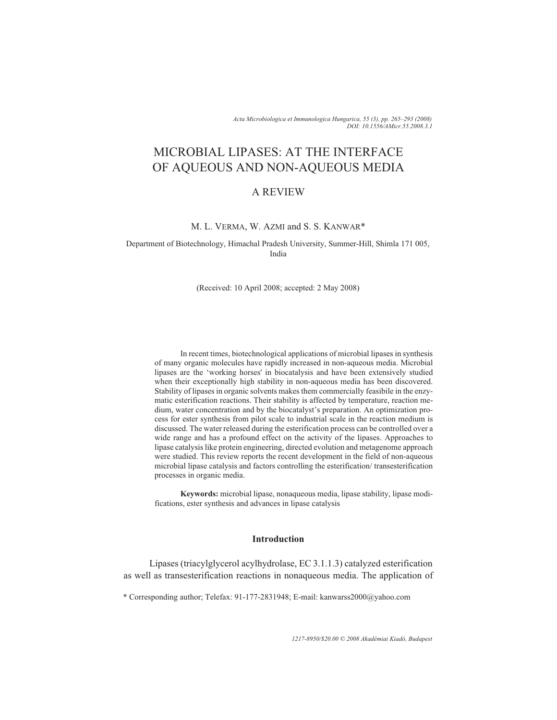*Acta Microbiologica et Immunologica Hungarica, 55 (3), pp. 265–293 (2008) DOI: 10.1556/AMicr.55.2008.3.1*

# MICROBIAL LIPASES: AT THE INTERFACE OF AQUEOUS AND NON-AQUEOUS MEDIA

# A REVIEW

# M. L. VERMA, W. AZMI and S. S. KANWAR\*

Department of Biotechnology, Himachal Pradesh University, Summer-Hill, Shimla 171 005, India

(Received: 10 April 2008; accepted: 2 May 2008)

In recent times, biotechnological applications of microbial lipases in synthesis of many organic molecules have rapidly increased in non-aqueous media. Microbial lipases are the 'working horses' in biocatalysis and have been extensively studied when their exceptionally high stability in non-aqueous media has been discovered. Stability of lipases in organic solvents makes them commercially feasibile in the enzymatic esterification reactions. Their stability is affected by temperature, reaction medium, water concentration and by the biocatalyst's preparation. An optimization process for ester synthesis from pilot scale to industrial scale in the reaction medium is discussed. The water released during the esterification process can be controlled over a wide range and has a profound effect on the activity of the lipases. Approaches to lipase catalysis like protein engineering, directed evolution and metagenome approach were studied. This review reports the recent development in the field of non-aqueous microbial lipase catalysis and factors controlling the esterification/ transesterification processes in organic media.

**Keywords:** microbial lipase, nonaqueous media, lipase stability, lipase modifications, ester synthesis and advances in lipase catalysis

# **Introduction**

Lipases (triacylglycerol acylhydrolase, EC 3.1.1.3) catalyzed esterification as well as transesterification reactions in nonaqueous media. The application of

\* Corresponding author; Telefax: 91-177-2831948; E-mail: kanwarss2000@yahoo.com

*1217-8950/\$20.00 © 2008 Akadémiai Kiadó, Budapest*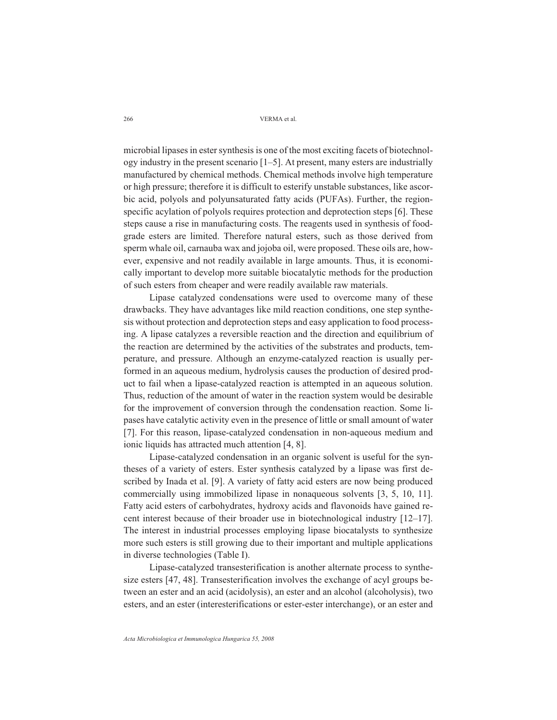microbial lipases in ester synthesis is one of the most exciting facets of biotechnology industry in the present scenario [1–5]. At present, many esters are industrially manufactured by chemical methods. Chemical methods involve high temperature or high pressure; therefore it is difficult to esterify unstable substances, like ascorbic acid, polyols and polyunsaturated fatty acids (PUFAs). Further, the regionspecific acylation of polyols requires protection and deprotection steps [6]. These steps cause a rise in manufacturing costs. The reagents used in synthesis of foodgrade esters are limited. Therefore natural esters, such as those derived from sperm whale oil, carnauba wax and jojoba oil, were proposed. These oils are, however, expensive and not readily available in large amounts. Thus, it is economically important to develop more suitable biocatalytic methods for the production of such esters from cheaper and were readily available raw materials.

Lipase catalyzed condensations were used to overcome many of these drawbacks. They have advantages like mild reaction conditions, one step synthesis without protection and deprotection steps and easy application to food processing. A lipase catalyzes a reversible reaction and the direction and equilibrium of the reaction are determined by the activities of the substrates and products, temperature, and pressure. Although an enzyme-catalyzed reaction is usually performed in an aqueous medium, hydrolysis causes the production of desired product to fail when a lipase-catalyzed reaction is attempted in an aqueous solution. Thus, reduction of the amount of water in the reaction system would be desirable for the improvement of conversion through the condensation reaction. Some lipases have catalytic activity even in the presence of little or small amount of water [7]. For this reason, lipase-catalyzed condensation in non-aqueous medium and ionic liquids has attracted much attention [4, 8].

Lipase-catalyzed condensation in an organic solvent is useful for the syntheses of a variety of esters. Ester synthesis catalyzed by a lipase was first described by Inada et al. [9]. A variety of fatty acid esters are now being produced commercially using immobilized lipase in nonaqueous solvents [3, 5, 10, 11]. Fatty acid esters of carbohydrates, hydroxy acids and flavonoids have gained recent interest because of their broader use in biotechnological industry [12–17]. The interest in industrial processes employing lipase biocatalysts to synthesize more such esters is still growing due to their important and multiple applications in diverse technologies (Table I).

Lipase-catalyzed transesterification is another alternate process to synthesize esters [47, 48]. Transesterification involves the exchange of acyl groups between an ester and an acid (acidolysis), an ester and an alcohol (alcoholysis), two esters, and an ester (interesterifications or ester-ester interchange), or an ester and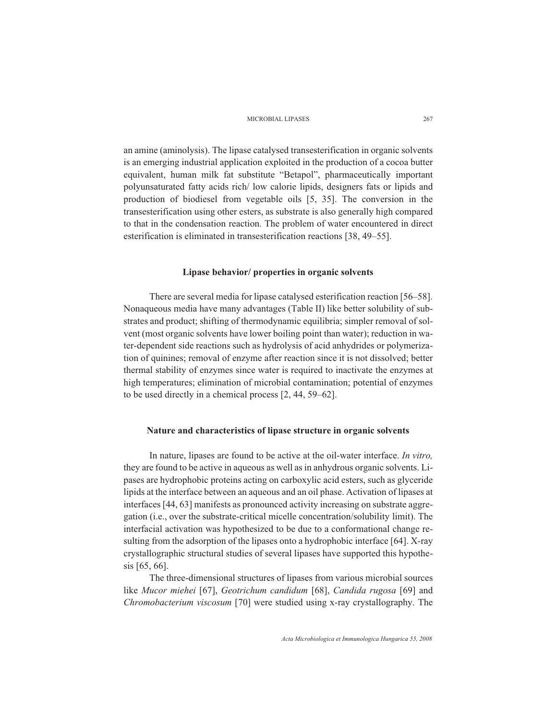an amine (aminolysis). The lipase catalysed transesterification in organic solvents is an emerging industrial application exploited in the production of a cocoa butter equivalent, human milk fat substitute "Betapol", pharmaceutically important polyunsaturated fatty acids rich/ low calorie lipids, designers fats or lipids and production of biodiesel from vegetable oils [5, 35]. The conversion in the transesterification using other esters, as substrate is also generally high compared to that in the condensation reaction. The problem of water encountered in direct esterification is eliminated in transesterification reactions [38, 49–55].

#### **Lipase behavior/ properties in organic solvents**

There are several media for lipase catalysed esterification reaction [56–58]. Nonaqueous media have many advantages (Table II) like better solubility of substrates and product; shifting of thermodynamic equilibria; simpler removal of solvent (most organic solvents have lower boiling point than water); reduction in water-dependent side reactions such as hydrolysis of acid anhydrides or polymerization of quinines; removal of enzyme after reaction since it is not dissolved; better thermal stability of enzymes since water is required to inactivate the enzymes at high temperatures; elimination of microbial contamination; potential of enzymes to be used directly in a chemical process [2, 44, 59–62].

# **Nature and characteristics of lipase structure in organic solvents**

In nature, lipases are found to be active at the oil-water interface. *In vitro,* they are found to be active in aqueous as well as in anhydrous organic solvents. Lipases are hydrophobic proteins acting on carboxylic acid esters, such as glyceride lipids at the interface between an aqueous and an oil phase. Activation of lipases at interfaces [44, 63] manifests as pronounced activity increasing on substrate aggregation (i.e., over the substrate-critical micelle concentration/solubility limit). The interfacial activation was hypothesized to be due to a conformational change resulting from the adsorption of the lipases onto a hydrophobic interface [64]. X-ray crystallographic structural studies of several lipases have supported this hypothesis [65, 66].

The three-dimensional structures of lipases from various microbial sources like *Mucor miehei* [67], *Geotrichum candidum* [68], *Candida rugosa* [69] and *Chromobacterium viscosum* [70] were studied using x-ray crystallography. The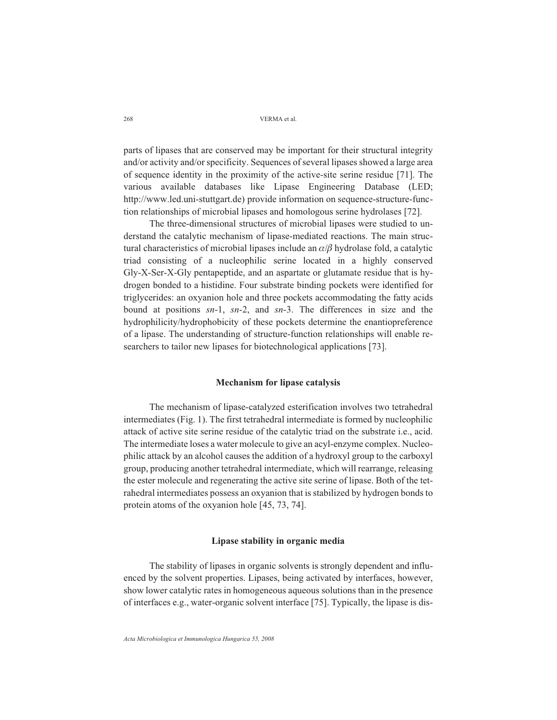parts of lipases that are conserved may be important for their structural integrity and/or activity and/or specificity. Sequences of several lipases showed a large area of sequence identity in the proximity of the active-site serine residue [71]. The various available databases like Lipase Engineering Database (LED; http://www.led.uni-stuttgart.de) provide information on sequence-structure-function relationships of microbial lipases and homologous serine hydrolases [72].

The three-dimensional structures of microbial lipases were studied to understand the catalytic mechanism of lipase-mediated reactions. The main structural characteristics of microbial lipases include an  $\alpha/\beta$  hydrolase fold, a catalytic triad consisting of a nucleophilic serine located in a highly conserved Gly-X-Ser-X-Gly pentapeptide, and an aspartate or glutamate residue that is hydrogen bonded to a histidine. Four substrate binding pockets were identified for triglycerides: an oxyanion hole and three pockets accommodating the fatty acids bound at positions *sn*-1, *sn*-2, and *sn*-3. The differences in size and the hydrophilicity/hydrophobicity of these pockets determine the enantiopreference of a lipase. The understanding of structure-function relationships will enable researchers to tailor new lipases for biotechnological applications [73].

#### **Mechanism for lipase catalysis**

The mechanism of lipase-catalyzed esterification involves two tetrahedral intermediates (Fig. 1). The first tetrahedral intermediate is formed by nucleophilic attack of active site serine residue of the catalytic triad on the substrate i.e., acid. The intermediate loses a water molecule to give an acyl-enzyme complex. Nucleophilic attack by an alcohol causes the addition of a hydroxyl group to the carboxyl group, producing another tetrahedral intermediate, which will rearrange, releasing the ester molecule and regenerating the active site serine of lipase. Both of the tetrahedral intermediates possess an oxyanion that is stabilized by hydrogen bonds to protein atoms of the oxyanion hole [45, 73, 74].

#### **Lipase stability in organic media**

The stability of lipases in organic solvents is strongly dependent and influenced by the solvent properties. Lipases, being activated by interfaces, however, show lower catalytic rates in homogeneous aqueous solutions than in the presence of interfaces e.g., water-organic solvent interface [75]. Typically, the lipase is dis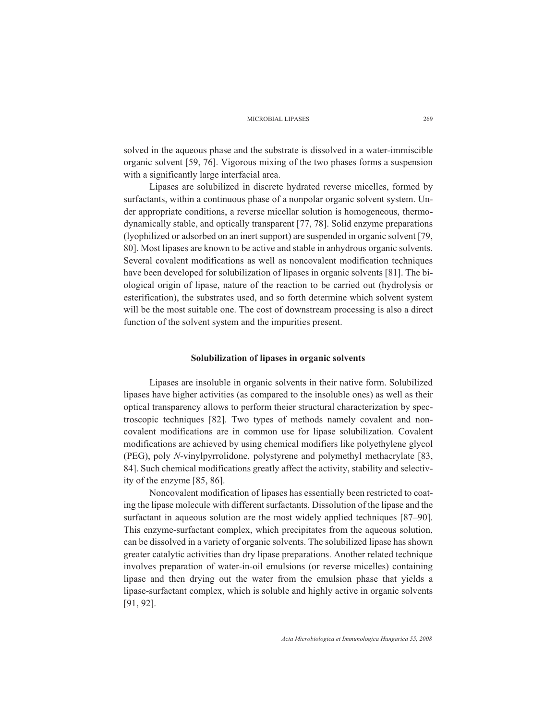solved in the aqueous phase and the substrate is dissolved in a water-immiscible organic solvent [59, 76]. Vigorous mixing of the two phases forms a suspension with a significantly large interfacial area.

Lipases are solubilized in discrete hydrated reverse micelles, formed by surfactants, within a continuous phase of a nonpolar organic solvent system. Under appropriate conditions, a reverse micellar solution is homogeneous, thermodynamically stable, and optically transparent [77, 78]. Solid enzyme preparations (lyophilized or adsorbed on an inert support) are suspended in organic solvent [79, 80]. Most lipases are known to be active and stable in anhydrous organic solvents. Several covalent modifications as well as noncovalent modification techniques have been developed for solubilization of lipases in organic solvents [81]. The biological origin of lipase, nature of the reaction to be carried out (hydrolysis or esterification), the substrates used, and so forth determine which solvent system will be the most suitable one. The cost of downstream processing is also a direct function of the solvent system and the impurities present.

#### **Solubilization of lipases in organic solvents**

Lipases are insoluble in organic solvents in their native form. Solubilized lipases have higher activities (as compared to the insoluble ones) as well as their optical transparency allows to perform theier structural characterization by spectroscopic techniques [82]. Two types of methods namely covalent and noncovalent modifications are in common use for lipase solubilization. Covalent modifications are achieved by using chemical modifiers like polyethylene glycol (PEG), poly *N*-vinylpyrrolidone, polystyrene and polymethyl methacrylate [83, 84]. Such chemical modifications greatly affect the activity, stability and selectivity of the enzyme [85, 86].

Noncovalent modification of lipases has essentially been restricted to coating the lipase molecule with different surfactants. Dissolution of the lipase and the surfactant in aqueous solution are the most widely applied techniques [87–90]. This enzyme-surfactant complex, which precipitates from the aqueous solution, can be dissolved in a variety of organic solvents. The solubilized lipase has shown greater catalytic activities than dry lipase preparations. Another related technique involves preparation of water-in-oil emulsions (or reverse micelles) containing lipase and then drying out the water from the emulsion phase that yields a lipase-surfactant complex, which is soluble and highly active in organic solvents [91, 92].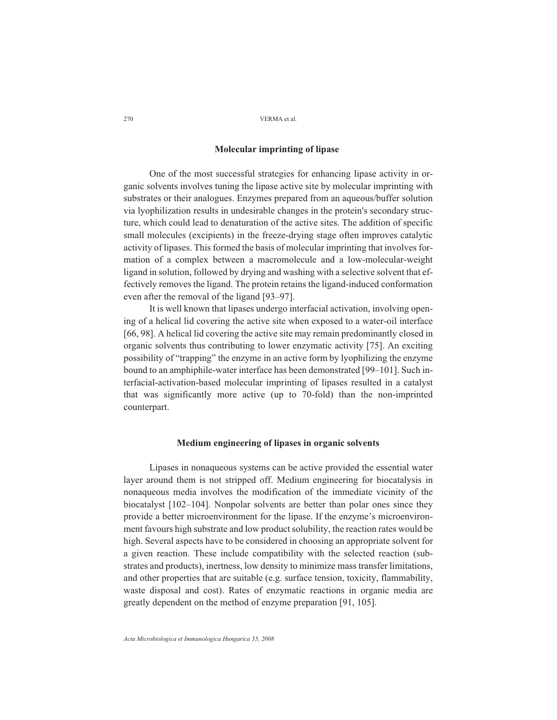# **Molecular imprinting of lipase**

One of the most successful strategies for enhancing lipase activity in organic solvents involves tuning the lipase active site by molecular imprinting with substrates or their analogues. Enzymes prepared from an aqueous/buffer solution via lyophilization results in undesirable changes in the protein's secondary structure, which could lead to denaturation of the active sites. The addition of specific small molecules (excipients) in the freeze-drying stage often improves catalytic activity of lipases. This formed the basis of molecular imprinting that involves formation of a complex between a macromolecule and a low-molecular-weight ligand in solution, followed by drying and washing with a selective solvent that effectively removes the ligand. The protein retains the ligand-induced conformation even after the removal of the ligand [93–97].

It is well known that lipases undergo interfacial activation, involving opening of a helical lid covering the active site when exposed to a water-oil interface [66, 98]. A helical lid covering the active site may remain predominantly closed in organic solvents thus contributing to lower enzymatic activity [75]. An exciting possibility of "trapping" the enzyme in an active form by lyophilizing the enzyme bound to an amphiphile-water interface has been demonstrated [99–101]. Such interfacial-activation-based molecular imprinting of lipases resulted in a catalyst that was significantly more active (up to 70-fold) than the non-imprinted counterpart.

## **Medium engineering of lipases in organic solvents**

Lipases in nonaqueous systems can be active provided the essential water layer around them is not stripped off. Medium engineering for biocatalysis in nonaqueous media involves the modification of the immediate vicinity of the biocatalyst [102–104]. Nonpolar solvents are better than polar ones since they provide a better microenvironment for the lipase. If the enzyme's microenvironment favours high substrate and low product solubility, the reaction rates would be high. Several aspects have to be considered in choosing an appropriate solvent for a given reaction. These include compatibility with the selected reaction (substrates and products), inertness, low density to minimize mass transfer limitations, and other properties that are suitable (e.g. surface tension, toxicity, flammability, waste disposal and cost). Rates of enzymatic reactions in organic media are greatly dependent on the method of enzyme preparation [91, 105].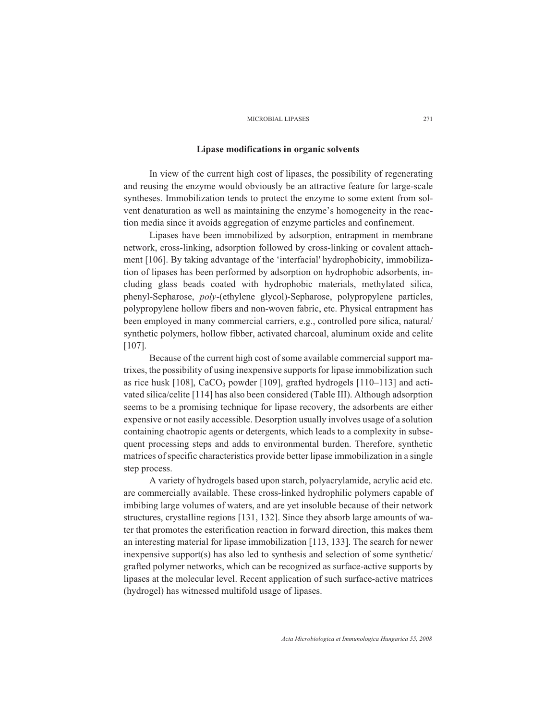# **Lipase modifications in organic solvents**

In view of the current high cost of lipases, the possibility of regenerating and reusing the enzyme would obviously be an attractive feature for large-scale syntheses. Immobilization tends to protect the enzyme to some extent from solvent denaturation as well as maintaining the enzyme's homogeneity in the reaction media since it avoids aggregation of enzyme particles and confinement.

Lipases have been immobilized by adsorption, entrapment in membrane network, cross-linking, adsorption followed by cross-linking or covalent attachment [106]. By taking advantage of the 'interfacial' hydrophobicity, immobilization of lipases has been performed by adsorption on hydrophobic adsorbents, including glass beads coated with hydrophobic materials, methylated silica, phenyl-Sepharose, *poly*-(ethylene glycol)-Sepharose, polypropylene particles, polypropylene hollow fibers and non-woven fabric, etc. Physical entrapment has been employed in many commercial carriers, e.g., controlled pore silica, natural/ synthetic polymers, hollow fibber, activated charcoal, aluminum oxide and celite [107].

Because of the current high cost of some available commercial support matrixes, the possibility of using inexpensive supports for lipase immobilization such as rice husk  $[108]$ , CaCO<sub>3</sub> powder  $[109]$ , grafted hydrogels  $[110-113]$  and activated silica/celite [114] has also been considered (Table III). Although adsorption seems to be a promising technique for lipase recovery, the adsorbents are either expensive or not easily accessible. Desorption usually involves usage of a solution containing chaotropic agents or detergents, which leads to a complexity in subsequent processing steps and adds to environmental burden. Therefore, synthetic matrices of specific characteristics provide better lipase immobilization in a single step process.

A variety of hydrogels based upon starch, polyacrylamide, acrylic acid etc. are commercially available. These cross-linked hydrophilic polymers capable of imbibing large volumes of waters, and are yet insoluble because of their network structures, crystalline regions [131, 132]. Since they absorb large amounts of water that promotes the esterification reaction in forward direction, this makes them an interesting material for lipase immobilization [113, 133]. The search for newer inexpensive support(s) has also led to synthesis and selection of some synthetic/ grafted polymer networks, which can be recognized as surface-active supports by lipases at the molecular level. Recent application of such surface-active matrices (hydrogel) has witnessed multifold usage of lipases.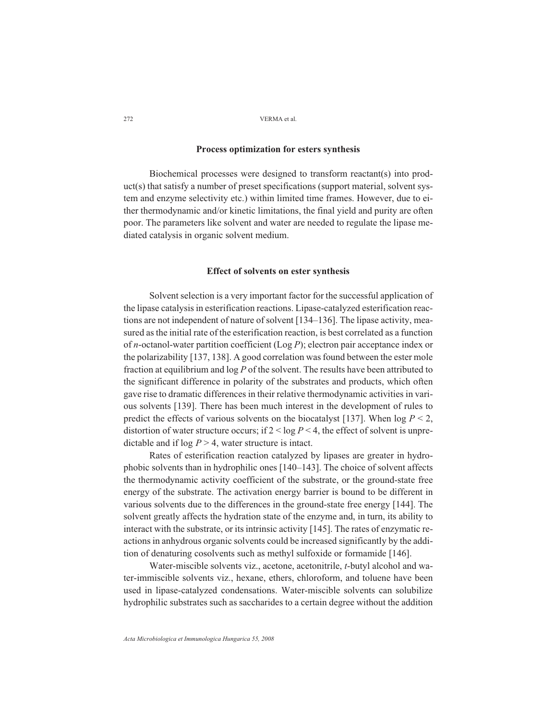# **Process optimization for esters synthesis**

Biochemical processes were designed to transform reactant(s) into product(s) that satisfy a number of preset specifications (support material, solvent system and enzyme selectivity etc.) within limited time frames. However, due to either thermodynamic and/or kinetic limitations, the final yield and purity are often poor. The parameters like solvent and water are needed to regulate the lipase mediated catalysis in organic solvent medium.

#### **Effect of solvents on ester synthesis**

Solvent selection is a very important factor for the successful application of the lipase catalysis in esterification reactions. Lipase-catalyzed esterification reactions are not independent of nature of solvent [134–136]. The lipase activity, measured as the initial rate of the esterification reaction, is best correlated as a function of *n*-octanol-water partition coefficient (Log *P*); electron pair acceptance index or the polarizability [137, 138]. A good correlation was found between the ester mole fraction at equilibrium and log *P* of the solvent. The results have been attributed to the significant difference in polarity of the substrates and products, which often gave rise to dramatic differences in their relative thermodynamic activities in various solvents [139]. There has been much interest in the development of rules to predict the effects of various solvents on the biocatalyst [137]. When  $\log P < 2$ , distortion of water structure occurs; if  $2 < log P < 4$ , the effect of solvent is unpredictable and if  $\log P > 4$ , water structure is intact.

Rates of esterification reaction catalyzed by lipases are greater in hydrophobic solvents than in hydrophilic ones [140–143]. The choice of solvent affects the thermodynamic activity coefficient of the substrate, or the ground-state free energy of the substrate. The activation energy barrier is bound to be different in various solvents due to the differences in the ground-state free energy [144]. The solvent greatly affects the hydration state of the enzyme and, in turn, its ability to interact with the substrate, or its intrinsic activity [145]. The rates of enzymatic reactions in anhydrous organic solvents could be increased significantly by the addition of denaturing cosolvents such as methyl sulfoxide or formamide [146].

Water-miscible solvents viz., acetone, acetonitrile, *t*-butyl alcohol and water-immiscible solvents viz., hexane, ethers, chloroform, and toluene have been used in lipase-catalyzed condensations. Water-miscible solvents can solubilize hydrophilic substrates such as saccharides to a certain degree without the addition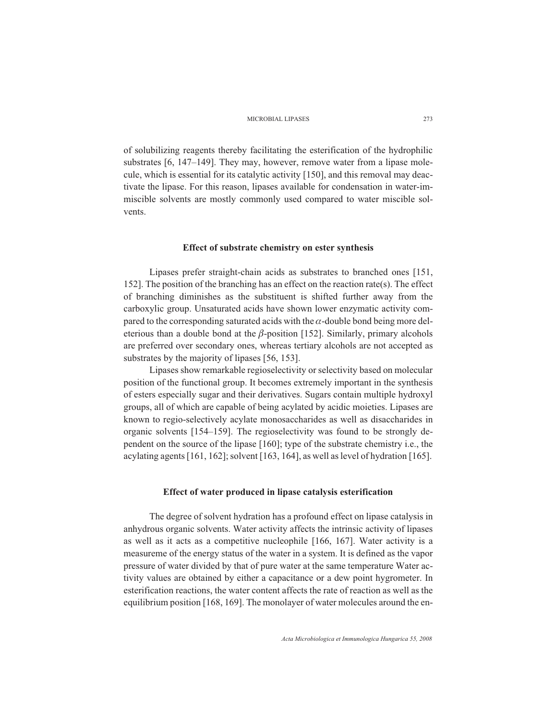of solubilizing reagents thereby facilitating the esterification of the hydrophilic substrates [6, 147–149]. They may, however, remove water from a lipase molecule, which is essential for its catalytic activity [150], and this removal may deactivate the lipase. For this reason, lipases available for condensation in water-immiscible solvents are mostly commonly used compared to water miscible solvents.

## **Effect of substrate chemistry on ester synthesis**

Lipases prefer straight-chain acids as substrates to branched ones [151, 152]. The position of the branching has an effect on the reaction rate(s). The effect of branching diminishes as the substituent is shifted further away from the carboxylic group. Unsaturated acids have shown lower enzymatic activity compared to the corresponding saturated acids with the  $\alpha$ -double bond being more deleterious than a double bond at the  $\beta$ -position [152]. Similarly, primary alcohols are preferred over secondary ones, whereas tertiary alcohols are not accepted as substrates by the majority of lipases [56, 153].

Lipases show remarkable regioselectivity or selectivity based on molecular position of the functional group. It becomes extremely important in the synthesis of esters especially sugar and their derivatives. Sugars contain multiple hydroxyl groups, all of which are capable of being acylated by acidic moieties. Lipases are known to regio-selectively acylate monosaccharides as well as disaccharides in organic solvents [154–159]. The regioselectivity was found to be strongly dependent on the source of the lipase [160]; type of the substrate chemistry i.e., the acylating agents [161, 162]; solvent [163, 164], as well as level of hydration [165].

#### **Effect of water produced in lipase catalysis esterification**

The degree of solvent hydration has a profound effect on lipase catalysis in anhydrous organic solvents. Water activity affects the intrinsic activity of lipases as well as it acts as a competitive nucleophile [166, 167]. Water activity is a measureme of the energy status of the water in a system. It is defined as the vapor pressure of water divided by that of pure water at the same temperature Water activity values are obtained by either a capacitance or a dew point hygrometer. In esterification reactions, the water content affects the rate of reaction as well as the equilibrium position [168, 169]. The monolayer of water molecules around the en-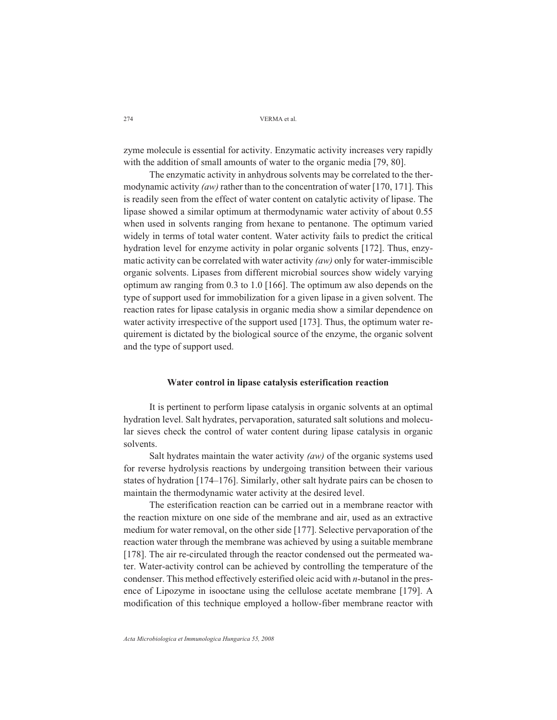zyme molecule is essential for activity. Enzymatic activity increases very rapidly with the addition of small amounts of water to the organic media [79, 80].

The enzymatic activity in anhydrous solvents may be correlated to the thermodynamic activity *(aw)* rather than to the concentration of water [170, 171]. This is readily seen from the effect of water content on catalytic activity of lipase. The lipase showed a similar optimum at thermodynamic water activity of about 0.55 when used in solvents ranging from hexane to pentanone. The optimum varied widely in terms of total water content. Water activity fails to predict the critical hydration level for enzyme activity in polar organic solvents [172]. Thus, enzymatic activity can be correlated with water activity *(aw)* only for water-immiscible organic solvents. Lipases from different microbial sources show widely varying optimum aw ranging from 0.3 to 1.0 [166]. The optimum aw also depends on the type of support used for immobilization for a given lipase in a given solvent. The reaction rates for lipase catalysis in organic media show a similar dependence on water activity irrespective of the support used [173]. Thus, the optimum water requirement is dictated by the biological source of the enzyme, the organic solvent and the type of support used.

#### **Water control in lipase catalysis esterification reaction**

It is pertinent to perform lipase catalysis in organic solvents at an optimal hydration level. Salt hydrates, pervaporation, saturated salt solutions and molecular sieves check the control of water content during lipase catalysis in organic solvents.

Salt hydrates maintain the water activity *(aw)* of the organic systems used for reverse hydrolysis reactions by undergoing transition between their various states of hydration [174–176]. Similarly, other salt hydrate pairs can be chosen to maintain the thermodynamic water activity at the desired level.

The esterification reaction can be carried out in a membrane reactor with the reaction mixture on one side of the membrane and air, used as an extractive medium for water removal, on the other side [177]. Selective pervaporation of the reaction water through the membrane was achieved by using a suitable membrane [178]. The air re-circulated through the reactor condensed out the permeated water. Water-activity control can be achieved by controlling the temperature of the condenser. This method effectively esterified oleic acid with *n*-butanol in the presence of Lipozyme in isooctane using the cellulose acetate membrane [179]. A modification of this technique employed a hollow-fiber membrane reactor with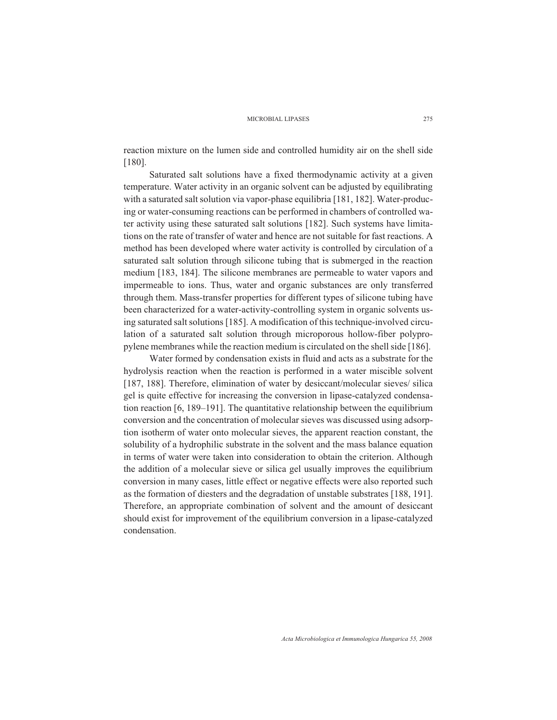reaction mixture on the lumen side and controlled humidity air on the shell side [180].

Saturated salt solutions have a fixed thermodynamic activity at a given temperature. Water activity in an organic solvent can be adjusted by equilibrating with a saturated salt solution via vapor-phase equilibria [181, 182]. Water-producing or water-consuming reactions can be performed in chambers of controlled water activity using these saturated salt solutions [182]. Such systems have limitations on the rate of transfer of water and hence are not suitable for fast reactions. A method has been developed where water activity is controlled by circulation of a saturated salt solution through silicone tubing that is submerged in the reaction medium [183, 184]. The silicone membranes are permeable to water vapors and impermeable to ions. Thus, water and organic substances are only transferred through them. Mass-transfer properties for different types of silicone tubing have been characterized for a water-activity-controlling system in organic solvents using saturated salt solutions [185]. A modification of this technique-involved circulation of a saturated salt solution through microporous hollow-fiber polypropylene membranes while the reaction medium is circulated on the shell side [186].

Water formed by condensation exists in fluid and acts as a substrate for the hydrolysis reaction when the reaction is performed in a water miscible solvent [187, 188]. Therefore, elimination of water by desiccant/molecular sieves/ silica gel is quite effective for increasing the conversion in lipase-catalyzed condensation reaction  $[6, 189-191]$ . The quantitative relationship between the equilibrium conversion and the concentration of molecular sieves was discussed using adsorption isotherm of water onto molecular sieves, the apparent reaction constant, the solubility of a hydrophilic substrate in the solvent and the mass balance equation in terms of water were taken into consideration to obtain the criterion. Although the addition of a molecular sieve or silica gel usually improves the equilibrium conversion in many cases, little effect or negative effects were also reported such as the formation of diesters and the degradation of unstable substrates [188, 191]. Therefore, an appropriate combination of solvent and the amount of desiccant should exist for improvement of the equilibrium conversion in a lipase-catalyzed condensation.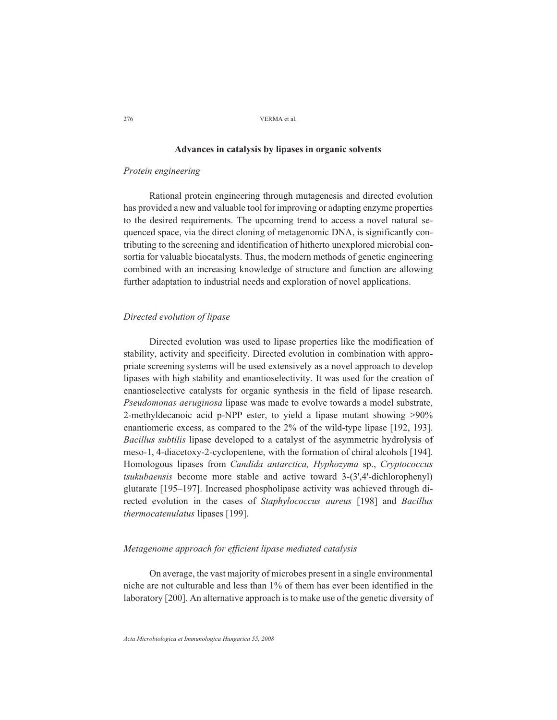# **Advances in catalysis by lipases in organic solvents**

#### *Protein engineering*

Rational protein engineering through mutagenesis and directed evolution has provided a new and valuable tool for improving or adapting enzyme properties to the desired requirements. The upcoming trend to access a novel natural sequenced space, via the direct cloning of metagenomic DNA, is significantly contributing to the screening and identification of hitherto unexplored microbial consortia for valuable biocatalysts. Thus, the modern methods of genetic engineering combined with an increasing knowledge of structure and function are allowing further adaptation to industrial needs and exploration of novel applications.

## *Directed evolution of lipase*

Directed evolution was used to lipase properties like the modification of stability, activity and specificity. Directed evolution in combination with appropriate screening systems will be used extensively as a novel approach to develop lipases with high stability and enantioselectivity. It was used for the creation of enantioselective catalysts for organic synthesis in the field of lipase research. *Pseudomonas aeruginosa* lipase was made to evolve towards a model substrate, 2-methyldecanoic acid p-NPP ester, to yield a lipase mutant showing >90% enantiomeric excess, as compared to the 2% of the wild-type lipase [192, 193]. *Bacillus subtilis* lipase developed to a catalyst of the asymmetric hydrolysis of meso-1, 4-diacetoxy-2-cyclopentene, with the formation of chiral alcohols [194]. Homologous lipases from *Candida antarctica, Hyphozyma* sp., *Cryptococcus tsukubaensis* become more stable and active toward 3-(3',4'-dichlorophenyl) glutarate [195–197]. Increased phospholipase activity was achieved through directed evolution in the cases of *Staphylococcus aureus* [198] and *Bacillus thermocatenulatus* lipases [199].

# *Metagenome approach for efficient lipase mediated catalysis*

On average, the vast majority of microbes present in a single environmental niche are not culturable and less than 1% of them has ever been identified in the laboratory [200]. An alternative approach is to make use of the genetic diversity of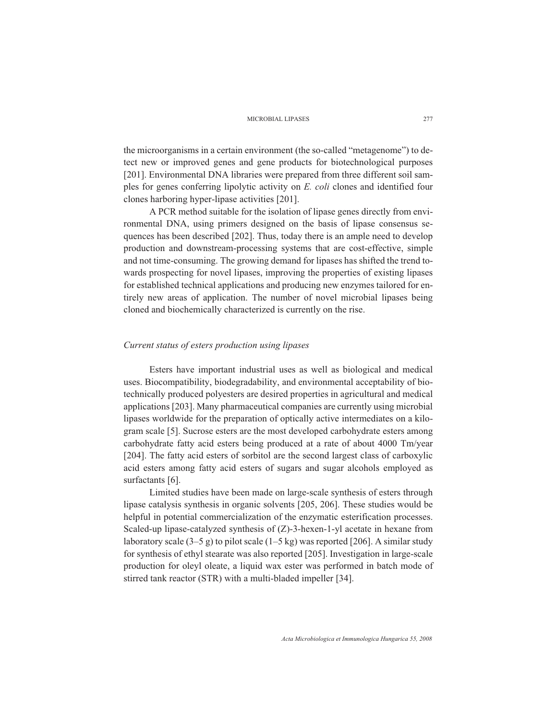the microorganisms in a certain environment (the so-called "metagenome") to detect new or improved genes and gene products for biotechnological purposes [201]. Environmental DNA libraries were prepared from three different soil samples for genes conferring lipolytic activity on *E. coli* clones and identified four clones harboring hyper-lipase activities [201].

A PCR method suitable for the isolation of lipase genes directly from environmental DNA, using primers designed on the basis of lipase consensus sequences has been described [202]. Thus, today there is an ample need to develop production and downstream-processing systems that are cost-effective, simple and not time-consuming. The growing demand for lipases has shifted the trend towards prospecting for novel lipases, improving the properties of existing lipases for established technical applications and producing new enzymes tailored for entirely new areas of application. The number of novel microbial lipases being cloned and biochemically characterized is currently on the rise.

#### *Current status of esters production using lipases*

Esters have important industrial uses as well as biological and medical uses. Biocompatibility, biodegradability, and environmental acceptability of biotechnically produced polyesters are desired properties in agricultural and medical applications [203]. Many pharmaceutical companies are currently using microbial lipases worldwide for the preparation of optically active intermediates on a kilogram scale [5]. Sucrose esters are the most developed carbohydrate esters among carbohydrate fatty acid esters being produced at a rate of about 4000 Tm/year [204]. The fatty acid esters of sorbitol are the second largest class of carboxylic acid esters among fatty acid esters of sugars and sugar alcohols employed as surfactants [6].

Limited studies have been made on large-scale synthesis of esters through lipase catalysis synthesis in organic solvents [205, 206]. These studies would be helpful in potential commercialization of the enzymatic esterification processes. Scaled-up lipase-catalyzed synthesis of (Z)-3-hexen-1-yl acetate in hexane from laboratory scale  $(3-5 g)$  to pilot scale  $(1-5 kg)$  was reported [206]. A similar study for synthesis of ethyl stearate was also reported [205]. Investigation in large-scale production for oleyl oleate, a liquid wax ester was performed in batch mode of stirred tank reactor (STR) with a multi-bladed impeller [34].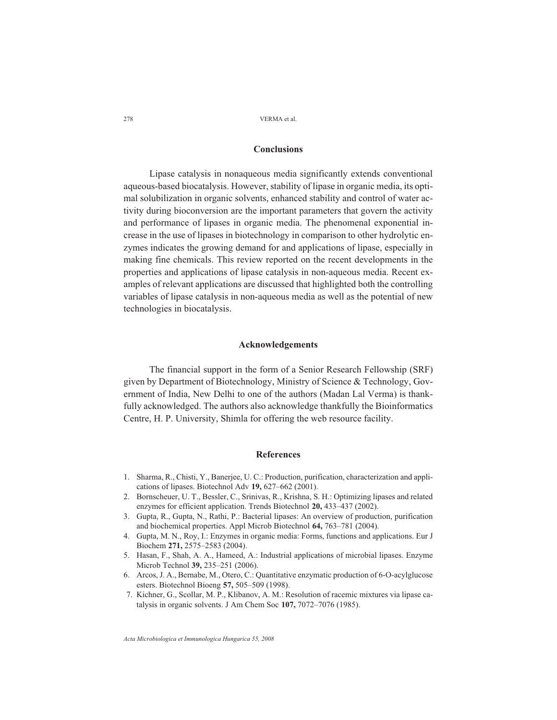# **Conclusions**

Lipase catalysis in nonaqueous media significantly extends conventional aqueous-based biocatalysis. However, stability of lipase in organic media, its optimal solubilization in organic solvents, enhanced stability and control of water activity during bioconversion are the important parameters that govern the activity and performance of lipases in organic media. The phenomenal exponential increase in the use of lipases in biotechnology in comparison to other hydrolytic enzymes indicates the growing demand for and applications of lipase, especially in making fine chemicals. This review reported on the recent developments in the properties and applications of lipase catalysis in non-aqueous media. Recent examples of relevant applications are discussed that highlighted both the controlling variables of lipase catalysis in non-aqueous media as well as the potential of new technologies in biocatalysis.

### **Acknowledgements**

The financial support in the form of a Senior Research Fellowship (SRF) given by Department of Biotechnology, Ministry of Science & Technology, Government of India, New Delhi to one of the authors (Madan Lal Verma) is thankfully acknowledged. The authors also acknowledge thankfully the Bioinformatics Centre, H. P. University, Shimla for offering the web resource facility.

# **References**

- 1. Sharma, R., Chisti, Y., Banerjee, U. C.: Production, purification, characterization and applications of lipases. Biotechnol Adv **19,** 627–662 (2001).
- 2. Bornscheuer, U. T., Bessler, C., Srinivas, R., Krishna, S. H.: Optimizing lipases and related enzymes for efficient application. Trends Biotechnol **20,** 433–437 (2002).
- 3. Gupta, R., Gupta, N., Rathi, P.: Bacterial lipases: An overview of production, purification and biochemical properties. Appl Microb Biotechnol **64,** 763–781 (2004).
- 4. Gupta, M. N., Roy, I.: Enzymes in organic media: Forms, functions and applications. Eur J Biochem **271,** 2575–2583 (2004).
- 5. Hasan, F., Shah, A. A., Hameed, A.: Industrial applications of microbial lipases. Enzyme Microb Technol **39,** 235–251 (2006).
- 6. Arcos, J. A., Bernabe, M., Otero, C.: Quantitative enzymatic production of 6-O-acylglucose esters. Biotechnol Bioeng **57,** 505–509 (1998).
- 7. Kichner, G., Scollar, M. P., Klibanov, A. M.: Resolution of racemic mixtures via lipase catalysis in organic solvents. J Am Chem Soc **107,** 7072–7076 (1985).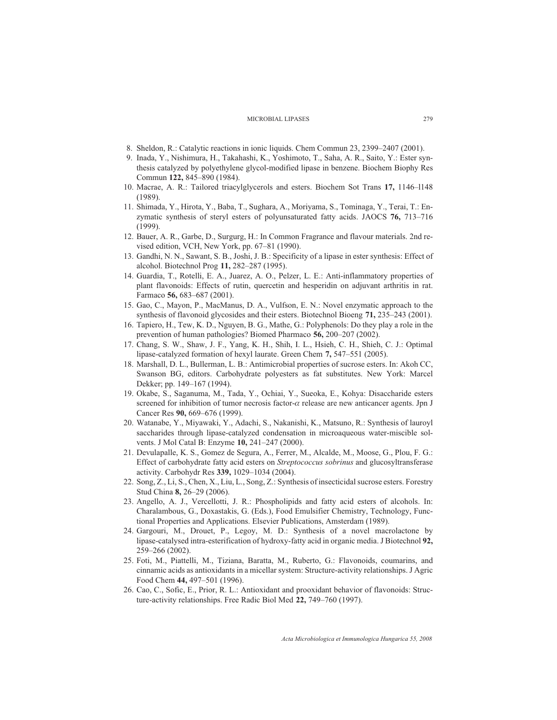- 8. Sheldon, R.: Catalytic reactions in ionic liquids. Chem Commun 23, 2399–2407 (2001).
- 9. Inada, Y., Nishimura, H., Takahashi, K., Yoshimoto, T., Saha, A. R., Saito, Y.: Ester synthesis catalyzed by polyethylene glycol-modified lipase in benzene. Biochem Biophy Res Commun **122,** 845–890 (1984).
- 10. Macrae, A. R.: Tailored triacylglycerols and esters. Biochem Sot Trans **17,** 1146–l148 (1989).
- 11. Shimada, Y., Hirota, Y., Baba, T., Sughara, A., Moriyama, S., Tominaga, Y., Terai, T.: Enzymatic synthesis of steryl esters of polyunsaturated fatty acids. JAOCS **76,** 713–716 (1999).
- 12. Bauer, A. R., Garbe, D., Surgurg, H.: In Common Fragrance and flavour materials. 2nd revised edition, VCH, New York, pp. 67–81 (1990).
- 13. Gandhi, N. N., Sawant, S. B., Joshi, J. B.: Specificity of a lipase in ester synthesis: Effect of alcohol. Biotechnol Prog **11,** 282–287 (1995).
- 14. Guardia, T., Rotelli, E. A., Juarez, A. O., Pelzer, L. E.: Anti-inflammatory properties of plant flavonoids: Effects of rutin, quercetin and hesperidin on adjuvant arthritis in rat. Farmaco **56,** 683–687 (2001).
- 15. Gao, C., Mayon, P., MacManus, D. A., Vulfson, E. N.: Novel enzymatic approach to the synthesis of flavonoid glycosides and their esters. Biotechnol Bioeng **71,** 235–243 (2001).
- 16. Tapiero, H., Tew, K. D., Nguyen, B. G., Mathe, G.: Polyphenols: Do they play a role in the prevention of human pathologies? Biomed Pharmaco **56,** 200–207 (2002).
- 17. Chang, S. W., Shaw, J. F., Yang, K. H., Shih, I. L., Hsieh, C. H., Shieh, C. J.: Optimal lipase-catalyzed formation of hexyl laurate. Green Chem **7,** 547–551 (2005).
- 18. Marshall, D. L., Bullerman, L. B.: Antimicrobial properties of sucrose esters. In: Akoh CC, Swanson BG, editors. Carbohydrate polyesters as fat substitutes. New York: Marcel Dekker; pp. 149–167 (1994).
- 19. Okabe, S., Saganuma, M., Tada, Y., Ochiai, Y., Sueoka, E., Kohya: Disaccharide esters screened for inhibition of tumor necrosis factor- $\alpha$  release are new anticancer agents. Jpn J Cancer Res **90,** 669–676 (1999).
- 20. Watanabe, Y., Miyawaki, Y., Adachi, S., Nakanishi, K., Matsuno, R.: Synthesis of lauroyl saccharides through lipase-catalyzed condensation in microaqueous water-miscible solvents. J Mol Catal B: Enzyme **10,** 241–247 (2000).
- 21. Devulapalle, K. S., Gomez de Segura, A., Ferrer, M., Alcalde, M., Moose, G., Plou, F. G.: Effect of carbohydrate fatty acid esters on *Streptococcus sobrinus* and glucosyltransferase activity. Carbohydr Res **339,** 1029–1034 (2004).
- 22. Song, Z., Li, S., Chen, X., Liu, L., Song, Z.: Synthesis of insecticidal sucrose esters. Forestry Stud China **8,** 26–29 (2006).
- 23. Angello, A. J., Vercellotti, J. R.: Phospholipids and fatty acid esters of alcohols. In: Charalambous, G., Doxastakis, G. (Eds.), Food Emulsifier Chemistry, Technology, Functional Properties and Applications. Elsevier Publications, Amsterdam (1989).
- 24. Gargouri, M., Drouet, P., Legoy, M. D.: Synthesis of a novel macrolactone by lipase-catalysed intra-esterification of hydroxy-fatty acid in organic media. J Biotechnol **92,** 259–266 (2002).
- 25. Foti, M., Piattelli, M., Tiziana, Baratta, M., Ruberto, G.: Flavonoids, coumarins, and cinnamic acids as antioxidants in a micellar system: Structure-activity relationships. J Agric Food Chem **44,** 497–501 (1996).
- 26. Cao, C., Sofic, E., Prior, R. L.: Antioxidant and prooxidant behavior of flavonoids: Structure-activity relationships. Free Radic Biol Med **22,** 749–760 (1997).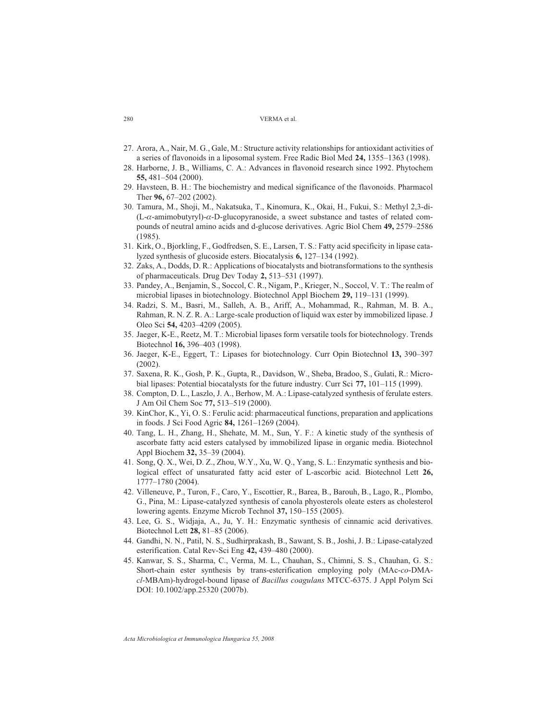- 27. Arora, A., Nair, M. G., Gale, M.: Structure activity relationships for antioxidant activities of a series of flavonoids in a liposomal system. Free Radic Biol Med **24,** 1355–1363 (1998).
- 28. Harborne, J. B., Williams, C. A.: Advances in flavonoid research since 1992. Phytochem **55,** 481–504 (2000).
- 29. Havsteen, B. H.: The biochemistry and medical significance of the flavonoids. Pharmacol Ther **96,** 67–202 (2002).
- 30. Tamura, M., Shoji, M., Nakatsuka, T., Kinomura, K., Okai, H., Fukui, S.: Methyl 2,3-di-  $(L-\alpha$ -amimobutyryl)- $\alpha$ -D-glucopyranoside, a sweet substance and tastes of related compounds of neutral amino acids and d-glucose derivatives. Agric Biol Chem **49,** 2579–2586 (1985).
- 31. Kirk, O., Bjorkling, F., Godfredsen, S. E., Larsen, T. S.: Fatty acid specificity in lipase catalyzed synthesis of glucoside esters. Biocatalysis **6,** 127–134 (1992).
- 32. Zaks, A., Dodds, D. R.: Applications of biocatalysts and biotransformations to the synthesis of pharmaceuticals. Drug Dev Today **2,** 513–531 (1997).
- 33. Pandey, A., Benjamin, S., Soccol, C. R., Nigam, P., Krieger, N., Soccol, V. T.: The realm of microbial lipases in biotechnology. Biotechnol Appl Biochem **29,** 119–131 (1999).
- 34. Radzi, S. M., Basri, M., Salleh, A. B., Ariff, A., Mohammad, R., Rahman, M. B. A., Rahman, R. N. Z. R. A.: Large-scale production of liquid wax ester by immobilized lipase. J Oleo Sci **54,** 4203–4209 (2005).
- 35. Jaeger, K-E., Reetz, M. T.: Microbial lipases form versatile tools for biotechnology. Trends Biotechnol **16,** 396–403 (1998).
- 36. Jaeger, K-E., Eggert, T.: Lipases for biotechnology. Curr Opin Biotechnol **13,** 390–397 (2002).
- 37. Saxena, R. K., Gosh, P. K., Gupta, R., Davidson, W., Sheba, Bradoo, S., Gulati, R.: Microbial lipases: Potential biocatalysts for the future industry. Curr Sci **77,** 101–115 (1999).
- 38. Compton, D. L., Laszlo, J. A., Berhow, M. A.: Lipase-catalyzed synthesis of ferulate esters. J Am Oil Chem Soc **77,** 513–519 (2000).
- 39. KinChor, K., Yi, O. S.: Ferulic acid: pharmaceutical functions, preparation and applications in foods. J Sci Food Agric **84,** 1261–1269 (2004).
- 40. Tang, L. H., Zhang, H., Shehate, M. M., Sun, Y. F.: A kinetic study of the synthesis of ascorbate fatty acid esters catalysed by immobilized lipase in organic media. Biotechnol Appl Biochem **32,** 35–39 (2004).
- 41. Song, Q. X., Wei, D. Z., Zhou, W.Y., Xu, W. Q., Yang, S. L.: Enzymatic synthesis and biological effect of unsaturated fatty acid ester of L-ascorbic acid. Biotechnol Lett **26,** 1777–1780 (2004).
- 42. Villeneuve, P., Turon, F., Caro, Y., Escottier, R., Barea, B., Barouh, B., Lago, R., Plombo, G., Pina, M.: Lipase-catalyzed synthesis of canola phyosterols oleate esters as cholesterol lowering agents. Enzyme Microb Technol **37,** 150–155 (2005).
- 43. Lee, G. S., Widjaja, A., Ju, Y. H.: Enzymatic synthesis of cinnamic acid derivatives. Biotechnol Lett **28,** 81–85 (2006).
- 44. Gandhi, N. N., Patil, N. S., Sudhirprakash, B., Sawant, S. B., Joshi, J. B.: Lipase-catalyzed esterification. Catal Rev-Sci Eng **42,** 439–480 (2000).
- 45. Kanwar, S. S., Sharma, C., Verma, M. L., Chauhan, S., Chimni, S. S., Chauhan, G. S.: Short-chain ester synthesis by trans-esterification employing poly (MAc-*co*-DMA*cl*-MBAm)-hydrogel-bound lipase of *Bacillus coagulans* MTCC-6375. J Appl Polym Sci DOI: 10.1002/app.25320 (2007b).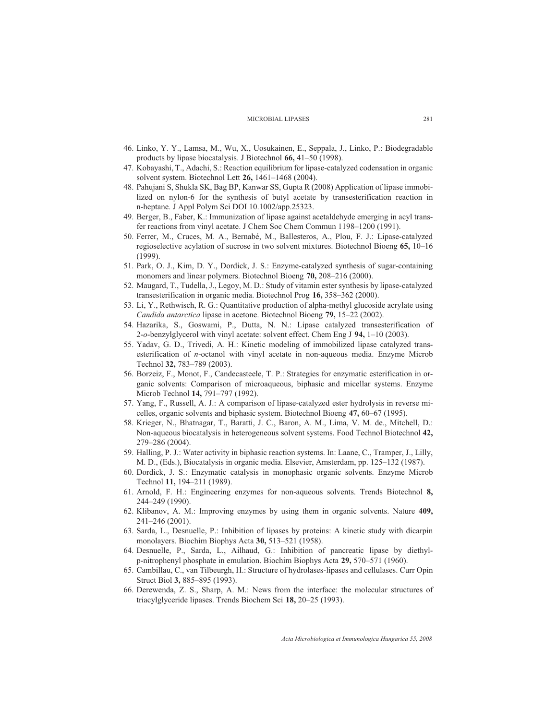- 46. Linko, Y. Y., Lamsa, M., Wu, X., Uosukainen, E., Seppala, J., Linko, P.: Biodegradable products by lipase biocatalysis. J Biotechnol **66,** 41–50 (1998).
- 47. Kobayashi, T., Adachi, S.: Reaction equilibrium for lipase-catalyzed codensation in organic solvent system. Biotechnol Lett **26,** 1461–1468 (2004).
- 48. Pahujani S, Shukla SK, Bag BP, Kanwar SS, Gupta R (2008) Application of lipase immobilized on nylon-6 for the synthesis of butyl acetate by transesterification reaction in n-heptane. J Appl Polym Sci DOI 10.1002/app.25323.
- 49. Berger, B., Faber, K.: Immunization of lipase against acetaldehyde emerging in acyl transfer reactions from vinyl acetate. J Chem Soc Chem Commun 1198–1200 (1991).
- 50. Ferrer, M., Cruces, M. A., Bernabé, M., Ballesteros, A., Plou, F. J.: Lipase-catalyzed regioselective acylation of sucrose in two solvent mixtures. Biotechnol Bioeng **65,** 10–16 (1999).
- 51. Park, O. J., Kim, D. Y., Dordick, J. S.: Enzyme-catalyzed synthesis of sugar-containing monomers and linear polymers. Biotechnol Bioeng **70,** 208–216 (2000).
- 52. Maugard, T., Tudella, J., Legoy, M. D.: Study of vitamin ester synthesis by lipase-catalyzed transesterification in organic media. Biotechnol Prog **16,** 358–362 (2000).
- 53. Li, Y., Rethwisch, R. G.: Quantitative production of alpha-methyl glucoside acrylate using *Candida antarctica* lipase in acetone. Biotechnol Bioeng **79,** 15–22 (2002).
- 54. Hazarika, S., Goswami, P., Dutta, N. N.: Lipase catalyzed transesterification of 2-*o*-benzylglycerol with vinyl acetate: solvent effect. Chem Eng J **94,** 1–10 (2003).
- 55. Yadav, G. D., Trivedi, A. H.: Kinetic modeling of immobilized lipase catalyzed transesterification of *n*-octanol with vinyl acetate in non-aqueous media. Enzyme Microb Technol **32,** 783–789 (2003).
- 56. Borzeiz, F., Monot, F., Candecasteele, T. P.: Strategies for enzymatic esterification in organic solvents: Comparison of microaqueous, biphasic and micellar systems. Enzyme Microb Technol **14,** 791–797 (1992).
- 57. Yang, F., Russell, A. J.: A comparison of lipase-catalyzed ester hydrolysis in reverse micelles, organic solvents and biphasic system. Biotechnol Bioeng **47,** 60–67 (1995).
- 58. Krieger, N., Bhatnagar, T., Baratti, J. C., Baron, A. M., Lima, V. M. de., Mitchell, D.: Non-aqueous biocatalysis in heterogeneous solvent systems. Food Technol Biotechnol **42,** 279–286 (2004).
- 59. Halling, P. J.: Water activity in biphasic reaction systems. In: Laane, C., Tramper, J., Lilly, M. D., (Eds.), Biocatalysis in organic media. Elsevier, Amsterdam, pp. 125–132 (1987).
- 60. Dordick, J. S.: Enzymatic catalysis in monophasic organic solvents. Enzyme Microb Technol **11,** 194–211 (1989).
- 61. Arnold, F. H.: Engineering enzymes for non-aqueous solvents. Trends Biotechnol **8,** 244–249 (1990).
- 62. Klibanov, A. M.: Improving enzymes by using them in organic solvents. Nature **409,** 241–246 (2001).
- 63. Sarda, L., Desnuelle, P.: Inhibition of lipases by proteins: A kinetic study with dicarpin monolayers. Biochim Biophys Acta **30,** 513–521 (1958).
- 64. Desnuelle, P., Sarda, L., Ailhaud, G.: Inhibition of pancreatic lipase by diethylp-nitrophenyl phosphate in emulation. Biochim Biophys Acta **29,** 570–571 (1960).
- 65. Cambillau, C., van Tilbeurgh, H.: Structure of hydrolases-lipases and cellulases. Curr Opin Struct Biol **3,** 885–895 (1993).
- 66. Derewenda, Z. S., Sharp, A. M.: News from the interface: the molecular structures of triacylglyceride lipases. Trends Biochem Sci **18,** 20–25 (1993).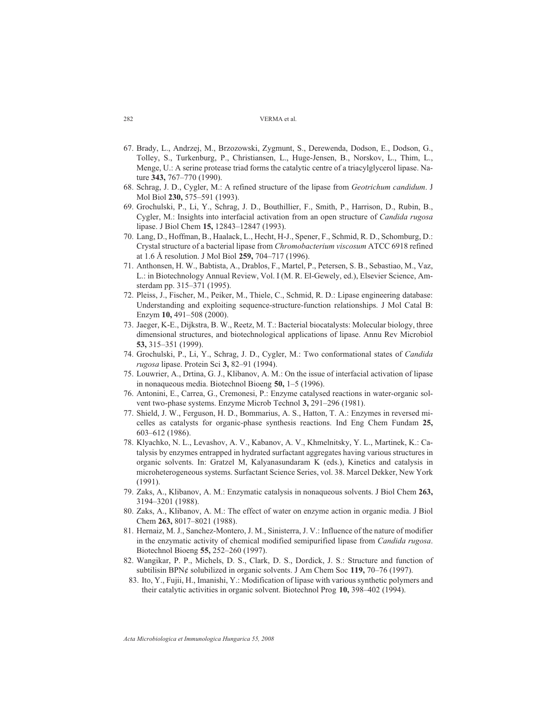- 67. Brady, L., Andrzej, M., Brzozowski, Zygmunt, S., Derewenda, Dodson, E., Dodson, G., Tolley, S., Turkenburg, P., Christiansen, L., Huge-Jensen, B., Norskov, L., Thim, L., Menge, U.: A serine protease triad forms the catalytic centre of a triacylglycerol lipase. Nature **343,** 767–770 (1990).
- 68. Schrag, J. D., Cygler, M.: A refined structure of the lipase from *Geotrichum candidum*. J Mol Biol **230,** 575–591 (1993).
- 69. Grochulski, P., Li, Y., Schrag, J. D., Bouthillier, F., Smith, P., Harrison, D., Rubin, B., Cygler, M.: Insights into interfacial activation from an open structure of *Candida rugosa* lipase. J Biol Chem **15,** 12843–12847 (1993).
- 70. Lang, D., Hoffman, B., Haalack, L., Hecht, H-J., Spener, F., Schmid, R. D., Schomburg, D.: Crystal structure of a bacterial lipase from *Chromobacterium viscosum* ATCC 6918 refined at 1.6 Å resolution. J Mol Biol **259,** 704–717 (1996).
- 71. Anthonsen, H. W., Babtista, A., Drablos, F., Martel, P., Petersen, S. B., Sebastiao, M., Vaz, L.: in Biotechnology Annual Review, Vol. I (M. R. El-Gewely, ed.), Elsevier Science, Amsterdam pp. 315–371 (1995).
- 72. Pleiss, J., Fischer, M., Peiker, M., Thiele, C., Schmid, R. D.: Lipase engineering database: Understanding and exploiting sequence-structure-function relationships. J Mol Catal B: Enzym **10,** 491–508 (2000).
- 73. Jaeger, K-E., Dijkstra, B. W., Reetz, M. T.: Bacterial biocatalysts: Molecular biology, three dimensional structures, and biotechnological applications of lipase. Annu Rev Microbiol **53,** 315–351 (1999).
- 74. Grochulski, P., Li, Y., Schrag, J. D., Cygler, M.: Two conformational states of *Candida rugosa* lipase. Protein Sci **3,** 82–91 (1994).
- 75. Louwrier, A., Drtina, G. J., Klibanov, A. M.: On the issue of interfacial activation of lipase in nonaqueous media. Biotechnol Bioeng **50,** 1–5 (1996).
- 76. Antonini, E., Carrea, G., Cremonesi, P.: Enzyme catalysed reactions in water-organic solvent two-phase systems. Enzyme Microb Technol **3,** 291–296 (1981).
- 77. Shield, J. W., Ferguson, H. D., Bommarius, A. S., Hatton, T. A.: Enzymes in reversed micelles as catalysts for organic-phase synthesis reactions. Ind Eng Chem Fundam **25,** 603–612 (1986).
- 78. Klyachko, N. L., Levashov, A. V., Kabanov, A. V., Khmelnitsky, Y. L., Martinek, K.: Catalysis by enzymes entrapped in hydrated surfactant aggregates having various structures in organic solvents. In: Gratzel M, Kalyanasundaram K (eds.), Kinetics and catalysis in microheterogeneous systems. Surfactant Science Series, vol. 38. Marcel Dekker, New York (1991).
- 79. Zaks, A., Klibanov, A. M.: Enzymatic catalysis in nonaqueous solvents. J Biol Chem **263,** 3194–3201 (1988).
- 80. Zaks, A., Klibanov, A. M.: The effect of water on enzyme action in organic media. J Biol Chem **263,** 8017–8021 (1988).
- 81. Hernaiz, M. J., Sanchez-Montero, J. M., Sinisterra, J. V.: Influence of the nature of modifier in the enzymatic activity of chemical modified semipurified lipase from *Candida rugosa*. Biotechnol Bioeng **55,** 252–260 (1997).
- 82. Wangikar, P. P., Michels, D. S., Clark, D. S., Dordick, J. S.: Structure and function of subtilisin BPN¢ solubilized in organic solvents. J Am Chem Soc **119,** 70–76 (1997).
- 83. Ito, Y., Fujii, H., Imanishi, Y.: Modification of lipase with various synthetic polymers and their catalytic activities in organic solvent. Biotechnol Prog **10,** 398–402 (1994).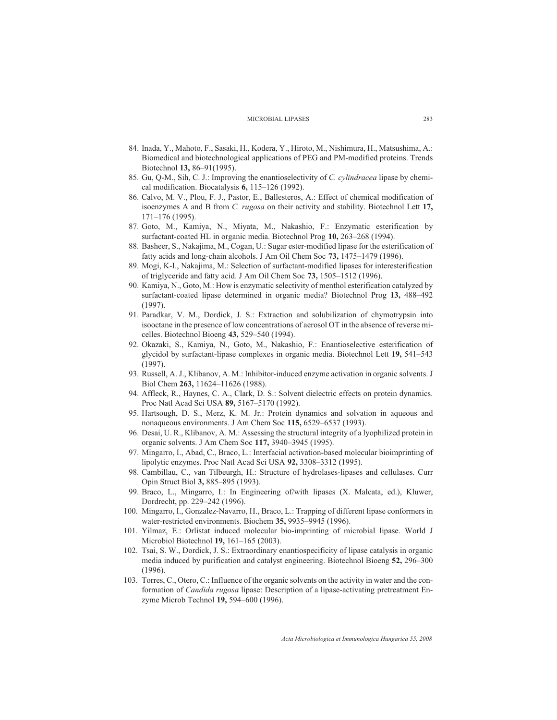- 84. Inada, Y., Mahoto, F., Sasaki, H., Kodera, Y., Hiroto, M., Nishimura, H., Matsushima, A.: Biomedical and biotechnological applications of PEG and PM-modified proteins. Trends Biotechnol **13,** 86–91(1995).
- 85. Gu, Q-M., Sih, C. J.: Improving the enantioselectivity of *C. cylindracea* lipase by chemical modification. Biocatalysis **6,** 115–126 (1992).
- 86. Calvo, M. V., Plou, F. J., Pastor, E., Ballesteros, A.: Effect of chemical modification of isoenzymes A and B from *C. rugosa* on their activity and stability. Biotechnol Lett **17,** 171–176 (1995).
- 87. Goto, M., Kamiya, N., Miyata, M., Nakashio, F.: Enzymatic esterification by surfactant-coated HL in organic media. Biotechnol Prog **10,** 263–268 (1994).
- 88. Basheer, S., Nakajima, M., Cogan, U.: Sugar ester-modified lipase for the esterification of fatty acids and long-chain alcohols. J Am Oil Chem Soc **73,** 1475–1479 (1996).
- 89. Mogi, K-I., Nakajima, M.: Selection of surfactant-modified lipases for interesterification of triglyceride and fatty acid. J Am Oil Chem Soc **73,** 1505–1512 (1996).
- 90. Kamiya, N., Goto, M.: How is enzymatic selectivity of menthol esterification catalyzed by surfactant-coated lipase determined in organic media? Biotechnol Prog **13,** 488–492 (1997).
- 91. Paradkar, V. M., Dordick, J. S.: Extraction and solubilization of chymotrypsin into isooctane in the presence of low concentrations of aerosol OT in the absence of reverse micelles. Biotechnol Bioeng **43,** 529–540 (1994).
- 92. Okazaki, S., Kamiya, N., Goto, M., Nakashio, F.: Enantioselective esterification of glycidol by surfactant-lipase complexes in organic media. Biotechnol Lett **19,** 541–543 (1997).
- 93. Russell, A. J., Klibanov, A. M.: Inhibitor-induced enzyme activation in organic solvents. J Biol Chem **263,** 11624–11626 (1988).
- 94. Affleck, R., Haynes, C. A., Clark, D. S.: Solvent dielectric effects on protein dynamics. Proc Natl Acad Sci USA **89,** 5167–5170 (1992).
- 95. Hartsough, D. S., Merz, K. M. Jr.: Protein dynamics and solvation in aqueous and nonaqueous environments. J Am Chem Soc **115,** 6529–6537 (1993).
- 96. Desai, U. R., Klibanov, A. M.: Assessing the structural integrity of a lyophilized protein in organic solvents. J Am Chem Soc **117,** 3940–3945 (1995).
- 97. Mingarro, I., Abad, C., Braco, L.: Interfacial activation-based molecular bioimprinting of lipolytic enzymes. Proc Natl Acad Sci USA **92,** 3308–3312 (1995).
- 98. Cambillau, C., van Tilbeurgh, H.: Structure of hydrolases-lipases and cellulases. Curr Opin Struct Biol **3,** 885–895 (1993).
- 99. Braco, L., Mingarro, I.: In Engineering of/with lipases (X. Malcata, ed.), Kluwer, Dordrecht, pp. 229–242 (1996).
- 100. Mingarro, I., Gonzalez-Navarro, H., Braco, L.: Trapping of different lipase conformers in water-restricted environments. Biochem **35,** 9935–9945 (1996).
- 101. Yilmaz, E.: Orlistat induced molecular bio-imprinting of microbial lipase. World J Microbiol Biotechnol **19,** 161–165 (2003).
- 102. Tsai, S. W., Dordick, J. S.: Extraordinary enantiospecificity of lipase catalysis in organic media induced by purification and catalyst engineering. Biotechnol Bioeng **52,** 296–300 (1996).
- 103. Torres, C., Otero, C.: Influence of the organic solvents on the activity in water and the conformation of *Candida rugosa* lipase: Description of a lipase-activating pretreatment Enzyme Microb Technol **19,** 594–600 (1996).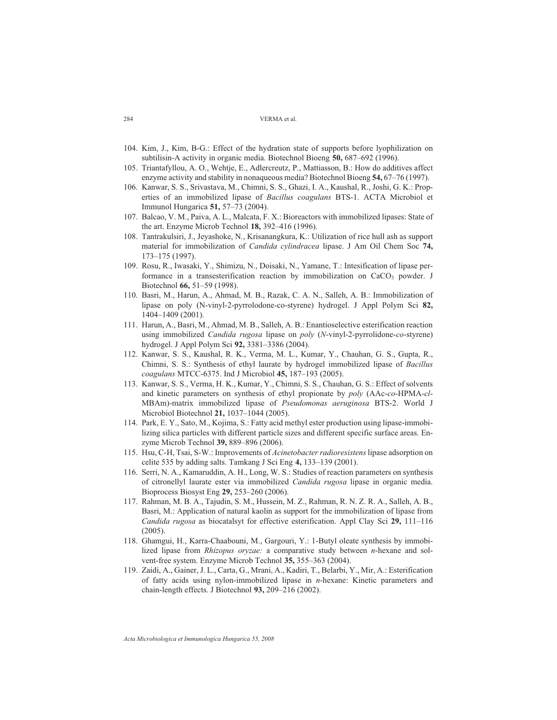- 104. Kim, J., Kim, B-G.: Effect of the hydration state of supports before lyophilization on subtilisin-A activity in organic media. Biotechnol Bioeng **50,** 687–692 (1996).
- 105. Triantafyllou, A. O., Wehtje, E., Adlercreutz, P., Mattiasson, B.: How do additives affect enzyme activity and stability in nonaqueous media? Biotechnol Bioeng **54,** 67–76 (1997).
- 106. Kanwar, S. S., Srivastava, M., Chimni, S. S., Ghazi, I. A., Kaushal, R., Joshi, G. K.: Properties of an immobilized lipase of *Bacillus coagulans* BTS-1. ACTA Microbiol et Immunol Hungarica **51,** 57–73 (2004).
- 107. Balcao, V. M., Paiva, A. L., Malcata, F. X.: Bioreactors with immobilized lipases: State of the art. Enzyme Microb Technol **18,** 392–416 (1996).
- 108. Tantrakulsiri, J., Jeyashoke, N., Krisanangkura, K.: Utilization of rice hull ash as support material for immobilization of *Candida cylindracea* lipase. J Am Oil Chem Soc **74,** 173–175 (1997).
- 109. Rosu, R., Iwasaki, Y., Shimizu, N., Doisaki, N., Yamane, T.: Intesification of lipase performance in a transesterification reaction by immobilization on  $CaCO<sub>3</sub>$  powder. J Biotechnol **66,** 51–59 (1998).
- 110. Basri, M., Harun, A., Ahmad, M. B., Razak, C. A. N., Salleh, A. B.: Immobilization of lipase on poly (N-vinyl-2-pyrrolodone-co-styrene) hydrogel. J Appl Polym Sci **82,** 1404–1409 (2001).
- 111. Harun, A., Basri, M., Ahmad, M. B., Salleh, A. B.: Enantioselective esterification reaction using immobilized *Candida rugosa* lipase on *poly* (*N*-vinyl-2-pyrrolidone-*co*-styrene) hydrogel. J Appl Polym Sci **92,** 3381–3386 (2004).
- 112. Kanwar, S. S., Kaushal, R. K., Verma, M. L., Kumar, Y., Chauhan, G. S., Gupta, R., Chimni, S. S.: Synthesis of ethyl laurate by hydrogel immobilized lipase of *Bacillus coagulans* MTCC-6375. Ind J Microbiol **45,** 187–193 (2005).
- 113. Kanwar, S. S., Verma, H. K., Kumar, Y., Chimni, S. S., Chauhan, G. S.: Effect of solvents and kinetic parameters on synthesis of ethyl propionate by *poly* (AAc-*co*-HPMA-*cl*-MBAm)-matrix immobilized lipase of *Pseudomonas aeruginosa* BTS-2. World J Microbiol Biotechnol **21,** 1037–1044 (2005).
- 114. Park, E. Y., Sato, M., Kojima, S.: Fatty acid methyl ester production using lipase-immobilizing silica particles with different particle sizes and different specific surface areas. Enzyme Microb Technol **39,** 889–896 (2006).
- 115. Hsu, C-H, Tsai, S-W.: Improvements of *Acinetobacter radioresistens*lipase adsorption on celite 535 by adding salts. Tamkang J Sci Eng **4,** 133–139 (2001).
- 116. Serri, N. A., Kamaruddin, A. H., Long, W. S.: Studies of reaction parameters on synthesis of citronellyl laurate ester via immobilized *Candida rugosa* lipase in organic media. Bioprocess Biosyst Eng **29,** 253–260 (2006).
- 117. Rahman, M. B. A., Tajudin, S. M., Hussein, M. Z., Rahman, R. N. Z. R. A., Salleh, A. B., Basri, M.: Application of natural kaolin as support for the immobilization of lipase from *Candida rugosa* as biocatalsyt for effective esterification. Appl Clay Sci **29,** 111–116 (2005).
- 118. Ghamgui, H., Karra-Chaabouni, M., Gargouri, Y.: 1-Butyl oleate synthesis by immobilized lipase from *Rhizopus oryzae:* a comparative study between *n*-hexane and solvent-free system. Enzyme Microb Technol **35,** 355–363 (2004).
- 119. Zaidi, A., Gainer, J. L., Carta, G., Mrani, A., Kadiri, T., Belarbi, Y., Mir, A.: Esterification of fatty acids using nylon-immobilized lipase in *n*-hexane: Kinetic parameters and chain-length effects. J Biotechnol **93,** 209–216 (2002).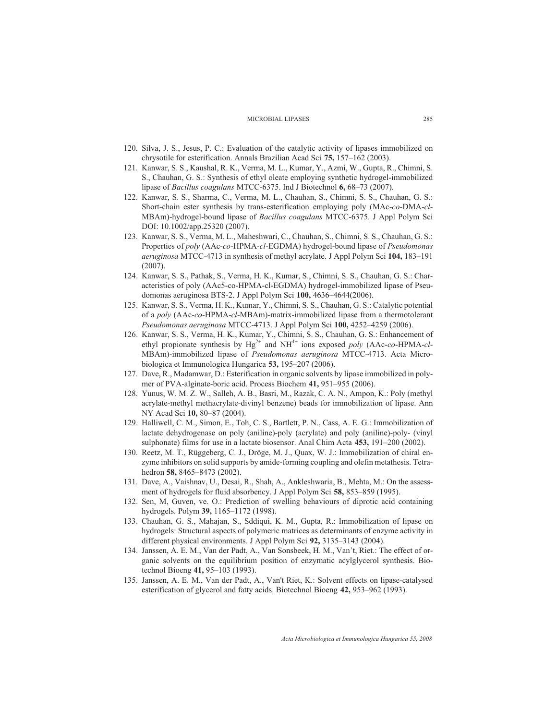- 120. Silva, J. S., Jesus, P. C.: Evaluation of the catalytic activity of lipases immobilized on chrysotile for esterification. Annals Brazilian Acad Sci **75,** 157–162 (2003).
- 121. Kanwar, S. S., Kaushal, R. K., Verma, M. L., Kumar, Y., Azmi, W., Gupta, R., Chimni, S. S., Chauhan, G. S.: Synthesis of ethyl oleate employing synthetic hydrogel-immobilized lipase of *Bacillus coagulans* MTCC-6375. Ind J Biotechnol **6,** 68–73 (2007).
- 122. Kanwar, S. S., Sharma, C., Verma, M. L., Chauhan, S., Chimni, S. S., Chauhan, G. S.: Short-chain ester synthesis by trans-esterification employing poly (MAc-*co*-DMA-*cl*-MBAm)-hydrogel-bound lipase of *Bacillus coagulans* MTCC-6375. J Appl Polym Sci DOI: 10.1002/app.25320 (2007).
- 123. Kanwar, S. S., Verma, M. L., Maheshwari, C., Chauhan, S., Chimni, S. S., Chauhan, G. S.: Properties of *poly* (AAc-*co*-HPMA-*cl*-EGDMA) hydrogel-bound lipase of *Pseudomonas aeruginosa* MTCC-4713 in synthesis of methyl acrylate. J Appl Polym Sci **104,** 183–191 (2007).
- 124. Kanwar, S. S., Pathak, S., Verma, H. K., Kumar, S., Chimni, S. S., Chauhan, G. S.: Characteristics of poly (AAc5-co-HPMA-cl-EGDMA) hydrogel-immobilized lipase of Pseudomonas aeruginosa BTS-2. J Appl Polym Sci **100,** 4636–4644(2006).
- 125. Kanwar, S. S., Verma, H. K., Kumar, Y., Chimni, S. S., Chauhan, G. S.: Catalytic potential of a *poly* (AAc-*co*-HPMA-*cl*-MBAm)-matrix-immobilized lipase from a thermotolerant *Pseudomonas aeruginosa* MTCC-4713. J Appl Polym Sci **100,** 4252–4259 (2006).
- 126. Kanwar, S. S., Verma, H. K., Kumar, Y., Chimni, S. S., Chauhan, G. S.: Enhancement of ethyl propionate synthesis by  $Hg^{2+}$  and  $NH^{4+}$  ions exposed *poly* (AAc-*co*-HPMA-*cl*-MBAm)-immobilized lipase of *Pseudomonas aeruginosa* MTCC-4713. Acta Microbiologica et Immunologica Hungarica **53,** 195–207 (2006).
- 127. Dave, R., Madamwar, D.: Esterification in organic solvents by lipase immobilized in polymer of PVA-alginate-boric acid. Process Biochem **41,** 951–955 (2006).
- 128. Yunus, W. M. Z. W., Salleh, A. B., Basri, M., Razak, C. A. N., Ampon, K.: Poly (methyl acrylate-methyl methacrylate-divinyl benzene) beads for immobilization of lipase. Ann NY Acad Sci **10,** 80–87 (2004).
- 129. Halliwell, C. M., Simon, E., Toh, C. S., Bartlett, P. N., Cass, A. E. G.: Immobilization of lactate dehydrogenase on poly (aniline)-poly (acrylate) and poly (aniline)-poly- (vinyl sulphonate) films for use in a lactate biosensor. Anal Chim Acta **453,** 191–200 (2002).
- 130. Reetz, M. T., Rüggeberg, C. J., Dröge, M. J., Quax, W. J.: Immobilization of chiral enzyme inhibitors on solid supports by amide-forming coupling and olefin metathesis. Tetrahedron **58,** 8465–8473 (2002).
- 131. Dave, A., Vaishnav, U., Desai, R., Shah, A., Ankleshwaria, B., Mehta, M.: On the assessment of hydrogels for fluid absorbency. J Appl Polym Sci **58,** 853–859 (1995).
- 132. Sen, M, Guven, ve. O.: Prediction of swelling behaviours of diprotic acid containing hydrogels. Polym **39,** 1165–1172 (1998).
- 133. Chauhan, G. S., Mahajan, S., Sddiqui, K. M., Gupta, R.: Immobilization of lipase on hydrogels: Structural aspects of polymeric matrices as determinants of enzyme activity in different physical environments. J Appl Polym Sci **92,** 3135–3143 (2004).
- 134. Janssen, A. E. M., Van der Padt, A., Van Sonsbeek, H. M., Van't, Riet.: The effect of organic solvents on the equilibrium position of enzymatic acylglycerol synthesis. Biotechnol Bioeng **41,** 95–103 (1993).
- 135. Janssen, A. E. M., Van der Padt, A., Van't Riet, K.: Solvent effects on lipase-catalysed esterification of glycerol and fatty acids. Biotechnol Bioeng **42,** 953–962 (1993).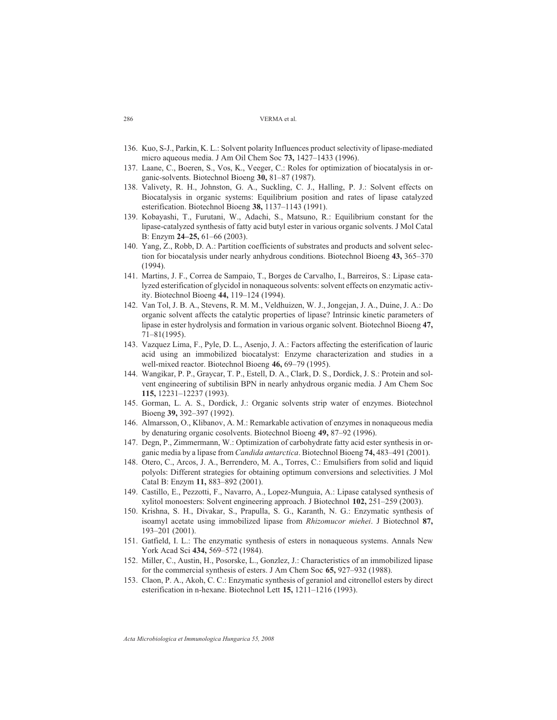- 136. Kuo, S-J., Parkin, K. L.: Solvent polarity Influences product selectivity of lipase-mediated micro aqueous media. J Am Oil Chem Soc **73,** 1427–1433 (1996).
- 137. Laane, C., Boeren, S., Vos, K., Veeger, C.: Roles for optimization of biocatalysis in organic-solvents. Biotechnol Bioeng **30,** 81–87 (1987).
- 138. Valivety, R. H., Johnston, G. A., Suckling, C. J., Halling, P. J.: Solvent effects on Biocatalysis in organic systems: Equilibrium position and rates of lipase catalyzed esterification. Biotechnol Bioeng **38,** 1137–1143 (1991).
- 139. Kobayashi, T., Furutani, W., Adachi, S., Matsuno, R.: Equilibrium constant for the lipase-catalyzed synthesis of fatty acid butyl ester in various organic solvents. J Mol Catal B: Enzym **24–25,** 61–66 (2003).
- 140. Yang, Z., Robb, D. A.: Partition coefficients of substrates and products and solvent selection for biocatalysis under nearly anhydrous conditions. Biotechnol Bioeng **43,** 365–370 (1994).
- 141. Martins, J. F., Correa de Sampaio, T., Borges de Carvalho, I., Barreiros, S.: Lipase catalyzed esterification of glycidol in nonaqueous solvents: solvent effects on enzymatic activity. Biotechnol Bioeng **44,** 119–124 (1994).
- 142. Van Tol, J. B. A., Stevens, R. M. M., Veldhuizen, W. J., Jongejan, J. A., Duine, J. A.: Do organic solvent affects the catalytic properties of lipase? Intrinsic kinetic parameters of lipase in ester hydrolysis and formation in various organic solvent. Biotechnol Bioeng **47,** 71–81(1995).
- 143. Vazquez Lima, F., Pyle, D. L., Asenjo, J. A.: Factors affecting the esterification of lauric acid using an immobilized biocatalyst: Enzyme characterization and studies in a well-mixed reactor. Biotechnol Bioeng **46,** 69–79 (1995).
- 144. Wangikar, P. P., Graycar, T. P., Estell, D. A., Clark, D. S., Dordick, J. S.: Protein and solvent engineering of subtilisin BPN in nearly anhydrous organic media. J Am Chem Soc **115,** 12231–12237 (1993).
- 145. Gorman, L. A. S., Dordick, J.: Organic solvents strip water of enzymes. Biotechnol Bioeng **39,** 392–397 (1992).
- 146. Almarsson, O., Klibanov, A. M.: Remarkable activation of enzymes in nonaqueous media by denaturing organic cosolvents. Biotechnol Bioeng **49,** 87–92 (1996).
- 147. Degn, P., Zimmermann, W.: Optimization of carbohydrate fatty acid ester synthesis in organic media by a lipase from *Candida antarctica*. Biotechnol Bioeng **74,** 483–491 (2001).
- 148. Otero, C., Arcos, J. A., Berrendero, M. A., Torres, C.: Emulsifiers from solid and liquid polyols: Different strategies for obtaining optimum conversions and selectivities. J Mol Catal B: Enzym **11,** 883–892 (2001).
- 149. Castillo, E., Pezzotti, F., Navarro, A., Lopez-Munguia, A.: Lipase catalysed synthesis of xylitol monoesters: Solvent engineering approach. J Biotechnol **102,** 251–259 (2003).
- 150. Krishna, S. H., Divakar, S., Prapulla, S. G., Karanth, N. G.: Enzymatic synthesis of isoamyl acetate using immobilized lipase from *Rhizomucor miehei*. J Biotechnol **87,** 193–201 (2001).
- 151. Gatfield, I. L.: The enzymatic synthesis of esters in nonaqueous systems. Annals New York Acad Sci **434,** 569–572 (1984).
- 152. Miller, C., Austin, H., Posorske, L., Gonzlez, J.: Characteristics of an immobilized lipase for the commercial synthesis of esters. J Am Chem Soc **65,** 927–932 (1988).
- 153. Claon, P. A., Akoh, C. C.: Enzymatic synthesis of geraniol and citronellol esters by direct esterification in n-hexane. Biotechnol Lett **15,** 1211–1216 (1993).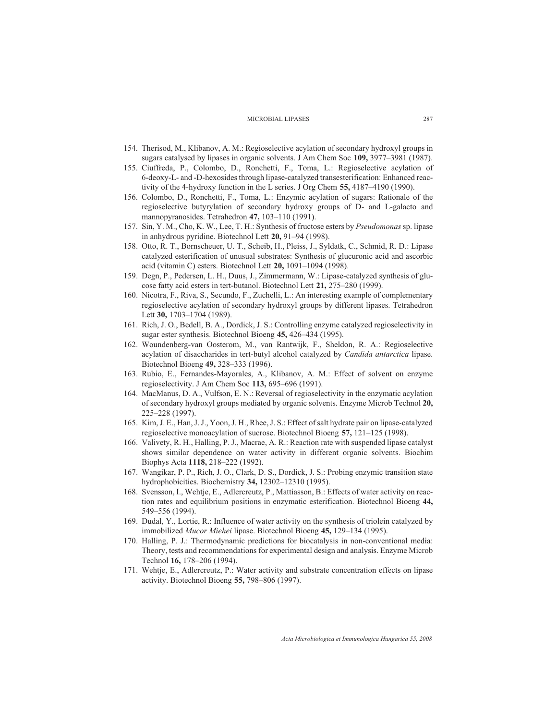- 154. Therisod, M., Klibanov, A. M.: Regioselective acylation of secondary hydroxyl groups in sugars catalysed by lipases in organic solvents. J Am Chem Soc **109,** 3977–3981 (1987).
- 155. Ciuffreda, P., Colombo, D., Ronchetti, F., Toma, L.: Regioselective acylation of 6-deoxy-L- and -D-hexosides through lipase-catalyzed transesterification: Enhanced reactivity of the 4-hydroxy function in the L series. J Org Chem **55,** 4187–4190 (1990).
- 156. Colombo, D., Ronchetti, F., Toma, L.: Enzymic acylation of sugars: Rationale of the regioselective butyrylation of secondary hydroxy groups of D- and L-galacto and mannopyranosides. Tetrahedron **47,** 103–110 (1991).
- 157. Sin, Y. M., Cho, K. W., Lee, T. H.: Synthesis of fructose esters by *Pseudomonas* sp. lipase in anhydrous pyridine. Biotechnol Lett **20,** 91–94 (1998).
- 158. Otto, R. T., Bornscheuer, U. T., Scheib, H., Pleiss, J., Syldatk, C., Schmid, R. D.: Lipase catalyzed esterification of unusual substrates: Synthesis of glucuronic acid and ascorbic acid (vitamin C) esters. Biotechnol Lett **20,** 1091–1094 (1998).
- 159. Degn, P., Pedersen, L. H., Duus, J., Zimmermann, W.: Lipase-catalyzed synthesis of glucose fatty acid esters in tert-butanol. Biotechnol Lett **21,** 275–280 (1999).
- 160. Nicotra, F., Riva, S., Secundo, F., Zuchelli, L.: An interesting example of complementary regioselective acylation of secondary hydroxyl groups by different lipases. Tetrahedron Lett **30,** 1703–1704 (1989).
- 161. Rich, J. O., Bedell, B. A., Dordick, J. S.: Controlling enzyme catalyzed regioselectivity in sugar ester synthesis. Biotechnol Bioeng **45,** 426–434 (1995).
- 162. Woundenberg-van Oosterom, M., van Rantwijk, F., Sheldon, R. A.: Regioselective acylation of disaccharides in tert-butyl alcohol catalyzed by *Candida antarctica* lipase. Biotechnol Bioeng **49,** 328–333 (1996).
- 163. Rubio, E., Fernandes-Mayorales, A., Klibanov, A. M.: Effect of solvent on enzyme regioselectivity. J Am Chem Soc **113,** 695–696 (1991).
- 164. MacManus, D. A., Vulfson, E. N.: Reversal of regioselectivity in the enzymatic acylation of secondary hydroxyl groups mediated by organic solvents. Enzyme Microb Technol **20,** 225–228 (1997).
- 165. Kim, J. E., Han, J. J., Yoon, J. H., Rhee, J. S.: Effect of salt hydrate pair on lipase-catalyzed regioselective monoacylation of sucrose. Biotechnol Bioeng **57,** 121–125 (1998).
- 166. Valivety, R. H., Halling, P. J., Macrae, A. R.: Reaction rate with suspended lipase catalyst shows similar dependence on water activity in different organic solvents. Biochim Biophys Acta **1118,** 218–222 (1992).
- 167. Wangikar, P. P., Rich, J. O., Clark, D. S., Dordick, J. S.: Probing enzymic transition state hydrophobicities. Biochemistry **34,** 12302–12310 (1995).
- 168. Svensson, I., Wehtje, E., Adlercreutz, P., Mattiasson, B.: Effects of water activity on reaction rates and equilibrium positions in enzymatic esterification. Biotechnol Bioeng **44,** 549–556 (1994).
- 169. Dudal, Y., Lortie, R.: Influence of water activity on the synthesis of triolein catalyzed by immobilized *Mucor Miehei* lipase. Biotechnol Bioeng **45,** 129–134 (1995).
- 170. Halling, P. J.: Thermodynamic predictions for biocatalysis in non-conventional media: Theory, tests and recommendations for experimental design and analysis. Enzyme Microb Technol **16,** 178–206 (1994).
- 171. Wehtje, E., Adlercreutz, P.: Water activity and substrate concentration effects on lipase activity. Biotechnol Bioeng **55,** 798–806 (1997).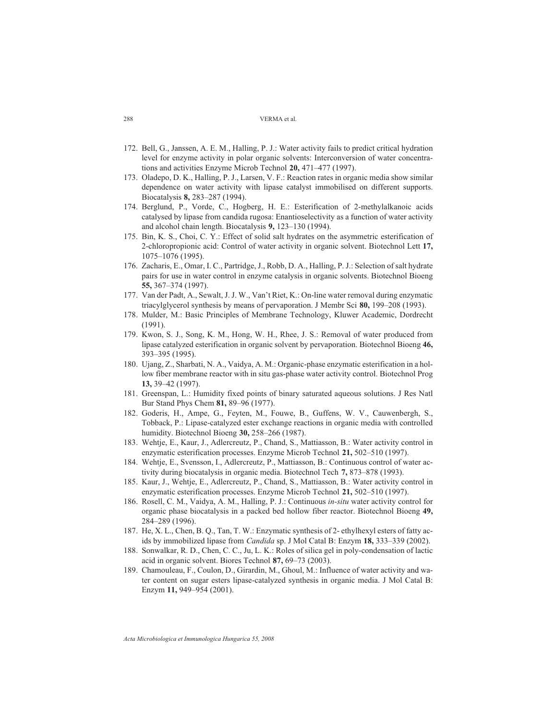- 172. Bell, G., Janssen, A. E. M., Halling, P. J.: Water activity fails to predict critical hydration level for enzyme activity in polar organic solvents: Interconversion of water concentrations and activities Enzyme Microb Technol **20,** 471–477 (1997).
- 173. Oladepo, D. K., Halling, P. J., Larsen, V. F.: Reaction rates in organic media show similar dependence on water activity with lipase catalyst immobilised on different supports. Biocatalysis **8,** 283–287 (1994).
- 174. Berglund, P., Vorde, C., Hogberg, H. E.: Esterification of 2-methylalkanoic acids catalysed by lipase from candida rugosa: Enantioselectivity as a function of water activity and alcohol chain length. Biocatalysis **9,** 123–130 (1994).
- 175. Bin, K. S., Choi, C. Y.: Effect of solid salt hydrates on the asymmetric esterification of 2-chloropropionic acid: Control of water activity in organic solvent. Biotechnol Lett **17,** 1075–1076 (1995).
- 176. Zacharis, E., Omar, I. C., Partridge, J., Robb, D. A., Halling, P. J.: Selection of salt hydrate pairs for use in water control in enzyme catalysis in organic solvents. Biotechnol Bioeng **55,** 367–374 (1997).
- 177. Van der Padt, A., Sewalt, J. J. W., Van't Riet, K.: On-line water removal during enzymatic triacylglycerol synthesis by means of pervaporation. J Membr Sci **80,** 199–208 (1993).
- 178. Mulder, M.: Basic Principles of Membrane Technology, Kluwer Academic, Dordrecht (1991).
- 179. Kwon, S. J., Song, K. M., Hong, W. H., Rhee, J. S.: Removal of water produced from lipase catalyzed esterification in organic solvent by pervaporation. Biotechnol Bioeng **46,** 393–395 (1995).
- 180. Ujang, Z., Sharbati, N. A., Vaidya, A. M.: Organic-phase enzymatic esterification in a hollow fiber membrane reactor with in situ gas-phase water activity control. Biotechnol Prog **13,** 39–42 (1997).
- 181. Greenspan, L.: Humidity fixed points of binary saturated aqueous solutions. J Res Natl Bur Stand Phys Chem **81,** 89–96 (1977).
- 182. Goderis, H., Ampe, G., Feyten, M., Fouwe, B., Guffens, W. V., Cauwenbergh, S., Tobback, P.: Lipase-catalyzed ester exchange reactions in organic media with controlled humidity. Biotechnol Bioeng **30,** 258–266 (1987).
- 183. Wehtje, E., Kaur, J., Adlercreutz, P., Chand, S., Mattiasson, B.: Water activity control in enzymatic esterification processes. Enzyme Microb Technol **21,** 502–510 (1997).
- 184. Wehtje, E., Svensson, I., Adlercreutz, P., Mattiasson, B.: Continuous control of water activity during biocatalysis in organic media. Biotechnol Tech **7,** 873–878 (1993).
- 185. Kaur, J., Wehtje, E., Adlercreutz, P., Chand, S., Mattiasson, B.: Water activity control in enzymatic esterification processes. Enzyme Microb Technol **21,** 502–510 (1997).
- 186. Rosell, C. M., Vaidya, A. M., Halling, P. J.: Continuous *in-situ* water activity control for organic phase biocatalysis in a packed bed hollow fiber reactor. Biotechnol Bioeng **49,** 284–289 (1996).
- 187. He, X. L., Chen, B. Q., Tan, T. W.: Enzymatic synthesis of 2- ethylhexyl esters of fatty acids by immobilized lipase from *Candida* sp. J Mol Catal B: Enzym **18,** 333–339 (2002).
- 188. Sonwalkar, R. D., Chen, C. C., Ju, L. K.: Roles of silica gel in poly-condensation of lactic acid in organic solvent. Biores Technol **87,** 69–73 (2003).
- 189. Chamouleau, F., Coulon, D., Girardin, M., Ghoul, M.: Influence of water activity and water content on sugar esters lipase-catalyzed synthesis in organic media. J Mol Catal B: Enzym **11,** 949–954 (2001).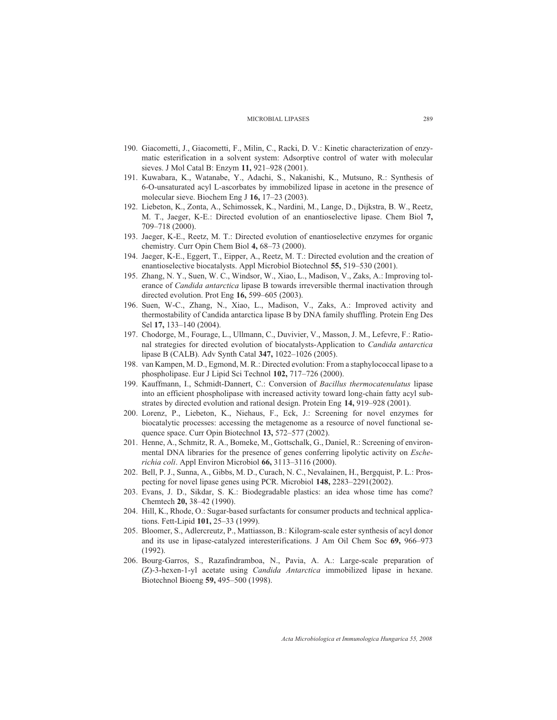- 190. Giacometti, J., Giacometti, F., Milin, C., Racki, D. V.: Kinetic characterization of enzymatic esterification in a solvent system: Adsorptive control of water with molecular sieves. J Mol Catal B: Enzym **11,** 921–928 (2001).
- 191. Kuwabara, K., Watanabe, Y., Adachi, S., Nakanishi, K., Mutsuno, R.: Synthesis of 6-O-unsaturated acyl L-ascorbates by immobilized lipase in acetone in the presence of molecular sieve. Biochem Eng J **16,** 17–23 (2003).
- 192. Liebeton, K., Zonta, A., Schimossek, K., Nardini, M., Lange, D., Dijkstra, B. W., Reetz, M. T., Jaeger, K-E.: Directed evolution of an enantioselective lipase. Chem Biol **7,** 709–718 (2000).
- 193. Jaeger, K-E., Reetz, M. T.: Directed evolution of enantioselective enzymes for organic chemistry. Curr Opin Chem Biol **4,** 68–73 (2000).
- 194. Jaeger, K-E., Eggert, T., Eipper, A., Reetz, M. T.: Directed evolution and the creation of enantioselective biocatalysts. Appl Microbiol Biotechnol **55,** 519–530 (2001).
- 195. Zhang, N. Y., Suen, W. C., Windsor, W., Xiao, L., Madison, V., Zaks, A.: Improving tolerance of *Candida antarctica* lipase B towards irreversible thermal inactivation through directed evolution. Prot Eng **16,** 599–605 (2003).
- 196. Suen, W-C., Zhang, N., Xiao, L., Madison, V., Zaks, A.: Improved activity and thermostability of Candida antarctica lipase B by DNA family shuffling. Protein Eng Des Sel **17,** 133–140 (2004).
- 197. Chodorge, M., Fourage, L., Ullmann, C., Duvivier, V., Masson, J. M., Lefevre, F.: Rational strategies for directed evolution of biocatalysts-Application to *Candida antarctica* lipase B (CALB). Adv Synth Catal **347,** 1022–1026 (2005).
- 198. van Kampen, M. D., Egmond, M. R.: Directed evolution: From a staphylococcal lipase to a phospholipase. Eur J Lipid Sci Technol **102,** 717–726 (2000).
- 199. Kauffmann, I., Schmidt-Dannert, C.: Conversion of *Bacillus thermocatenulatus* lipase into an efficient phospholipase with increased activity toward long-chain fatty acyl substrates by directed evolution and rational design. Protein Eng **14,** 919–928 (2001).
- 200. Lorenz, P., Liebeton, K., Niehaus, F., Eck, J.: Screening for novel enzymes for biocatalytic processes: accessing the metagenome as a resource of novel functional sequence space. Curr Opin Biotechnol **13,** 572–577 (2002).
- 201. Henne, A., Schmitz, R. A., Bomeke, M., Gottschalk, G., Daniel, R.: Screening of environmental DNA libraries for the presence of genes conferring lipolytic activity on *Escherichia coli*. Appl Environ Microbiol **66,** 3113–3116 (2000).
- 202. Bell, P. J., Sunna, A., Gibbs, M. D., Curach, N. C., Nevalainen, H., Bergquist, P. L.: Prospecting for novel lipase genes using PCR. Microbiol **148,** 2283–2291(2002).
- 203. Evans, J. D., Sikdar, S. K.: Biodegradable plastics: an idea whose time has come? Chemtech **20,** 38–42 (1990).
- 204. Hill, K., Rhode, O.: Sugar-based surfactants for consumer products and technical applications. Fett-Lipid **101,** 25–33 (1999).
- 205. Bloomer, S., Adlercreutz, P., Mattiasson, B.: Kilogram-scale ester synthesis of acyl donor and its use in lipase-catalyzed interesterifications. J Am Oil Chem Soc **69,** 966–973 (1992).
- 206. Bourg-Garros, S., Razafindramboa, N., Pavia, A. A.: Large-scale preparation of (Z)-3-hexen-1-yl acetate using *Candida Antarctica* immobilized lipase in hexane. Biotechnol Bioeng **59,** 495–500 (1998).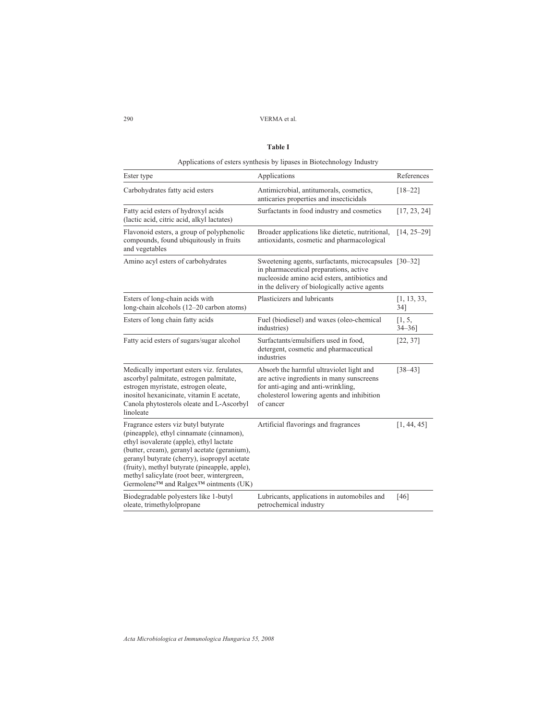#### **Table I**

Applications of esters synthesis by lipases in Biotechnology Industry

| Ester type                                                                                                                                                                                                                                                                                                                                                                      | Applications                                                                                                                                                                                      | References            |
|---------------------------------------------------------------------------------------------------------------------------------------------------------------------------------------------------------------------------------------------------------------------------------------------------------------------------------------------------------------------------------|---------------------------------------------------------------------------------------------------------------------------------------------------------------------------------------------------|-----------------------|
| Carbohydrates fatty acid esters                                                                                                                                                                                                                                                                                                                                                 | Antimicrobial, antitumorals, cosmetics,<br>anticaries properties and insecticidals                                                                                                                | $[18 - 22]$           |
| Fatty acid esters of hydroxyl acids<br>(lactic acid, citric acid, alkyl lactates)                                                                                                                                                                                                                                                                                               | Surfactants in food industry and cosmetics                                                                                                                                                        | [17, 23, 24]          |
| Flavonoid esters, a group of polyphenolic<br>compounds, found ubiquitously in fruits<br>and vegetables                                                                                                                                                                                                                                                                          | Broader applications like dietetic, nutritional,<br>antioxidants, cosmetic and pharmacological                                                                                                    | $[14, 25 - 29]$       |
| Amino acyl esters of carbohydrates                                                                                                                                                                                                                                                                                                                                              | Sweetening agents, surfactants, microcapsules [30–32]<br>in pharmaceutical preparations, active<br>nucleoside amino acid esters, antibiotics and<br>in the delivery of biologically active agents |                       |
| Esters of long-chain acids with<br>long-chain alcohols (12–20 carbon atoms)                                                                                                                                                                                                                                                                                                     | Plasticizers and lubricants                                                                                                                                                                       | [1, 13, 33,<br>34]    |
| Esters of long chain fatty acids                                                                                                                                                                                                                                                                                                                                                | Fuel (biodiesel) and waxes (oleo-chemical<br>industries)                                                                                                                                          | [1, 5,<br>$34 - 36$ ] |
| Fatty acid esters of sugars/sugar alcohol                                                                                                                                                                                                                                                                                                                                       | Surfactants/emulsifiers used in food,<br>detergent, cosmetic and pharmaceutical<br>industries                                                                                                     | [22, 37]              |
| Medically important esters viz. ferulates,<br>ascorbyl palmitate, estrogen palmitate,<br>estrogen myristate, estrogen oleate,<br>inositol hexanicinate, vitamin E acetate,<br>Canola phytosterols oleate and L-Ascorbyl<br>linoleate                                                                                                                                            | Absorb the harmful ultraviolet light and<br>are active ingredients in many sunscreens<br>for anti-aging and anti-wrinkling,<br>cholesterol lowering agents and inhibition<br>of cancer            | $[38 - 43]$           |
| Fragrance esters viz butyl butyrate<br>(pineapple), ethyl cinnamate (cinnamon),<br>ethyl isovalerate (apple), ethyl lactate<br>(butter, cream), geranyl acetate (geranium),<br>geranyl butyrate (cherry), isopropyl acetate<br>(fruity), methyl butyrate (pineapple, apple),<br>methyl salicylate (root beer, wintergreen,<br>Germolene™ and Ralgex <sup>™</sup> ointments (UK) | Artificial flavorings and fragrances                                                                                                                                                              | [1, 44, 45]           |
| Biodegradable polyesters like 1-butyl<br>oleate, trimethylolpropane                                                                                                                                                                                                                                                                                                             | Lubricants, applications in automobiles and<br>petrochemical industry                                                                                                                             | [46]                  |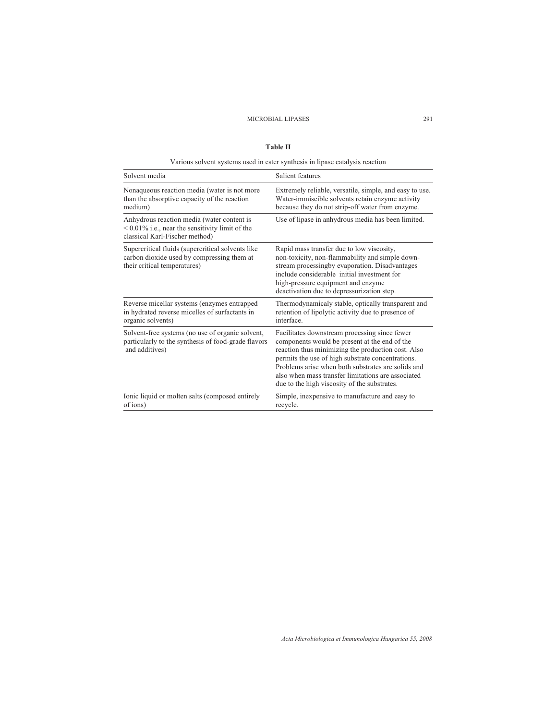#### **Table II**

Various solvent systems used in ester synthesis in lipase catalysis reaction

| Solvent media                                                                                                                      | Salient features                                                                                                                                                                                                                                                                                                                                                      |
|------------------------------------------------------------------------------------------------------------------------------------|-----------------------------------------------------------------------------------------------------------------------------------------------------------------------------------------------------------------------------------------------------------------------------------------------------------------------------------------------------------------------|
| Nonaqueous reaction media (water is not more<br>than the absorptive capacity of the reaction<br>medium)                            | Extremely reliable, versatile, simple, and easy to use.<br>Water-immiscible solvents retain enzyme activity<br>because they do not strip-off water from enzyme.                                                                                                                                                                                                       |
| Anhydrous reaction media (water content is<br>$< 0.01\%$ i.e., near the sensitivity limit of the<br>classical Karl-Fischer method) | Use of lipase in anhydrous media has been limited.                                                                                                                                                                                                                                                                                                                    |
| Supercritical fluids (supercritical solvents like<br>carbon dioxide used by compressing them at<br>their critical temperatures)    | Rapid mass transfer due to low viscosity,<br>non-toxicity, non-flammability and simple down-<br>stream processingby evaporation. Disadvantages<br>include considerable initial investment for<br>high-pressure equipment and enzyme<br>deactivation due to depressurization step.                                                                                     |
| Reverse micellar systems (enzymes entrapped<br>in hydrated reverse micelles of surfactants in<br>organic solvents)                 | Thermodynamicaly stable, optically transparent and<br>retention of lipolytic activity due to presence of<br>interface                                                                                                                                                                                                                                                 |
| Solvent-free systems (no use of organic solvent,<br>particularly to the synthesis of food-grade flavors<br>and additives)          | Facilitates downstream processing since fewer<br>components would be present at the end of the<br>reaction thus minimizing the production cost. Also<br>permits the use of high substrate concentrations.<br>Problems arise when both substrates are solids and<br>also when mass transfer limitations are associated<br>due to the high viscosity of the substrates. |
| Ionic liquid or molten salts (composed entirely<br>of ions)                                                                        | Simple, inexpensive to manufacture and easy to<br>recycle.                                                                                                                                                                                                                                                                                                            |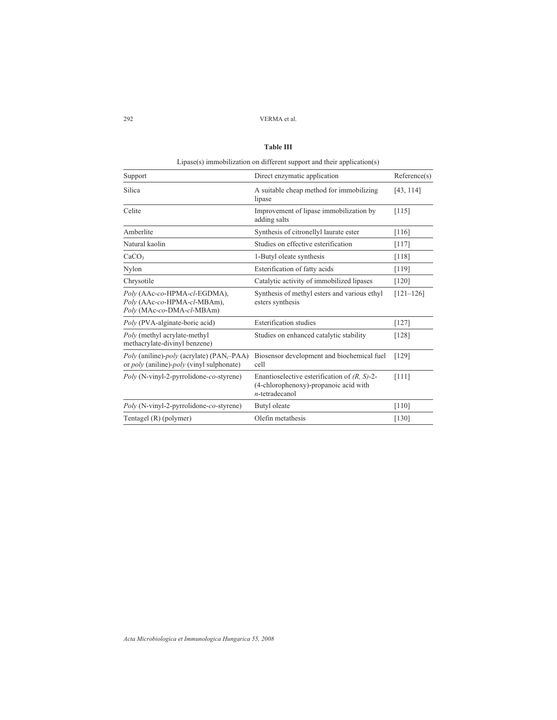#### **Table III**

Lipase(s) immobilization on different support and their application(s) Support Direct enzymatic application Reference(s) Silica A suitable cheap method for immobilizing [43, 114] lipase Celite Improvement of lipase immobilization by [115] adding salts Amberlite Synthesis of citronellyl laurate ester [116] Natural kaolin Studies on effective esterification [117] CaCO<sub>3</sub> 1-Butyl oleate synthesis [118] Nylon Esterification of fatty acids [119] Chrysotile Catalytic activity of immobilized lipases [120] *Poly* (AAc-*co*-HPMA-*cl*-EGDMA), Synthesis of methyl esters and various ethyl [121–126] *Poly* (AAc-*co*-HPMA-*cl*-MBAm), esters synthesis *Poly* (MAc-*co*-DMA-*cl*-MBAm) *Poly* (PVA-alginate-boric acid) Esterification studies [127] *Poly* (methyl acrylate-methyl Studies on enhanced catalytic stability [128] methacrylate-divinyl benzene) *Poly* (aniline)-*poly* (acrylate) (PAN<sub>i</sub>–PAA) Biosensor development and biochemical fuel [129] or *poly* (aniline)-*poly* (vinyl sulphonate) cell or *poly* (aniline)-*poly* (vinyl sulphonate) *Poly* (N-vinyl-2-pyrrolidone-*co*-styrene) Enantioselective esterification of *(R, S)*-2- [111] (4-chlorophenoxy)-propanoic acid with *n*-tetradecanol *Poly* (N-vinyl-2-pyrrolidone-*co*-styrene) Butyl oleate [110] Tentagel (R) (polymer) Olefin metathesis [130]